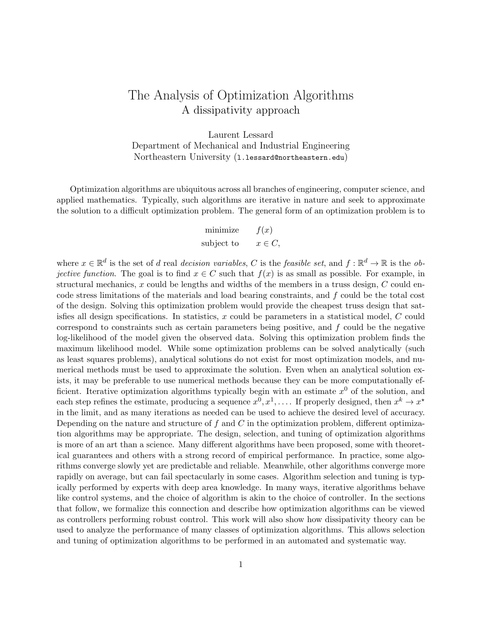# The Analysis of Optimization Algorithms A dissipativity approach

Laurent Lessard Department of Mechanical and Industrial Engineering Northeastern University (l.lessard@northeastern.edu)

Optimization algorithms are ubiquitous across all branches of engineering, computer science, and applied mathematics. Typically, such algorithms are iterative in nature and seek to approximate the solution to a difficult optimization problem. The general form of an optimization problem is to

| minimize   | f(x)      |
|------------|-----------|
| subject to | $x \in C$ |

where  $x \in \mathbb{R}^d$  is the set of d real decision variables, C is the feasible set, and  $f : \mathbb{R}^d \to \mathbb{R}$  is the ob*jective function.* The goal is to find  $x \in C$  such that  $f(x)$  is as small as possible. For example, in structural mechanics, x could be lengths and widths of the members in a truss design,  $C$  could encode stress limitations of the materials and load bearing constraints, and f could be the total cost of the design. Solving this optimization problem would provide the cheapest truss design that satisfies all design specifications. In statistics, x could be parameters in a statistical model, C could correspond to constraints such as certain parameters being positive, and  $f$  could be the negative log-likelihood of the model given the observed data. Solving this optimization problem finds the maximum likelihood model. While some optimization problems can be solved analytically (such as least squares problems), analytical solutions do not exist for most optimization models, and numerical methods must be used to approximate the solution. Even when an analytical solution exists, it may be preferable to use numerical methods because they can be more computationally efficient. Iterative optimization algorithms typically begin with an estimate  $x^0$  of the solution, and each step refines the estimate, producing a sequence  $x^0, x^1, \ldots$ . If properly designed, then  $x^k \to x^*$ in the limit, and as many iterations as needed can be used to achieve the desired level of accuracy. Depending on the nature and structure of  $f$  and  $C$  in the optimization problem, different optimization algorithms may be appropriate. The design, selection, and tuning of optimization algorithms is more of an art than a science. Many different algorithms have been proposed, some with theoretical guarantees and others with a strong record of empirical performance. In practice, some algorithms converge slowly yet are predictable and reliable. Meanwhile, other algorithms converge more rapidly on average, but can fail spectacularly in some cases. Algorithm selection and tuning is typically performed by experts with deep area knowledge. In many ways, iterative algorithms behave like control systems, and the choice of algorithm is akin to the choice of controller. In the sections that follow, we formalize this connection and describe how optimization algorithms can be viewed as controllers performing robust control. This work will also show how dissipativity theory can be used to analyze the performance of many classes of optimization algorithms. This allows selection and tuning of optimization algorithms to be performed in an automated and systematic way.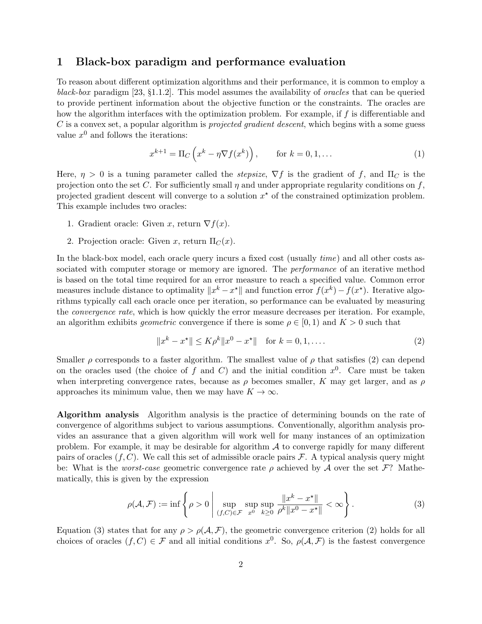### 1 Black-box paradigm and performance evaluation

To reason about different optimization algorithms and their performance, it is common to employ a black-box paradigm [\[23,](#page-21-0) §1.1.2]. This model assumes the availability of oracles that can be queried to provide pertinent information about the objective function or the constraints. The oracles are how the algorithm interfaces with the optimization problem. For example, if f is differentiable and  $C$  is a convex set, a popular algorithm is *projected gradient descent*, which begins with a some guess value  $x^0$  and follows the iterations:

<span id="page-1-2"></span>
$$
x^{k+1} = \Pi_C \left( x^k - \eta \nabla f(x^k) \right), \qquad \text{for } k = 0, 1, \dots \tag{1}
$$

Here,  $\eta > 0$  is a tuning parameter called the *stepsize*,  $\nabla f$  is the gradient of f, and  $\Pi_C$  is the projection onto the set C. For sufficiently small  $\eta$  and under appropriate regularity conditions on f, projected gradient descent will converge to a solution  $x^*$  of the constrained optimization problem. This example includes two oracles:

- 1. Gradient oracle: Given x, return  $\nabla f(x)$ .
- 2. Projection oracle: Given x, return  $\Pi_C(x)$ .

In the black-box model, each oracle query incurs a fixed cost (usually *time*) and all other costs associated with computer storage or memory are ignored. The *performance* of an iterative method is based on the total time required for an error measure to reach a specified value. Common error measures include distance to optimality  $||x^k - x^*||$  and function error  $f(x^k) - f(x^*)$ . Iterative algorithms typically call each oracle once per iteration, so performance can be evaluated by measuring the convergence rate, which is how quickly the error measure decreases per iteration. For example, an algorithm exhibits *geometric* convergence if there is some  $\rho \in [0, 1)$  and  $K > 0$  such that

<span id="page-1-0"></span>
$$
||x^{k} - x^*|| \le K\rho^k ||x^0 - x^*|| \quad \text{for } k = 0, 1, \dots
$$
 (2)

Smaller  $\rho$  corresponds to a faster algorithm. The smallest value of  $\rho$  that satisfies [\(2\)](#page-1-0) can depend on the oracles used (the choice of f and C) and the initial condition  $x^0$ . Care must be taken when interpreting convergence rates, because as  $\rho$  becomes smaller, K may get larger, and as  $\rho$ approaches its minimum value, then we may have  $K \to \infty$ .

Algorithm analysis Algorithm analysis is the practice of determining bounds on the rate of convergence of algorithms subject to various assumptions. Conventionally, algorithm analysis provides an assurance that a given algorithm will work well for many instances of an optimization problem. For example, it may be desirable for algorithm  $A$  to converge rapidly for many different pairs of oracles  $(f, C)$ . We call this set of admissible oracle pairs F. A typical analysis query might be: What is the worst-case geometric convergence rate  $\rho$  achieved by A over the set F? Mathematically, this is given by the expression

<span id="page-1-1"></span>
$$
\rho(\mathcal{A}, \mathcal{F}) := \inf \left\{ \rho > 0 \; \middle| \; \sup_{(f, C) \in \mathcal{F}} \sup_{x^0} \sup_{k \ge 0} \frac{\|x^k - x^{\star}\|}{\rho^k \|x^0 - x^{\star}\|} < \infty \right\}.
$$
\n(3)

Equation [\(3\)](#page-1-1) states that for any  $\rho > \rho(\mathcal{A}, \mathcal{F})$ , the geometric convergence criterion [\(2\)](#page-1-0) holds for all choices of oracles  $(f, C) \in \mathcal{F}$  and all initial conditions  $x^0$ . So,  $\rho(\mathcal{A}, \mathcal{F})$  is the fastest convergence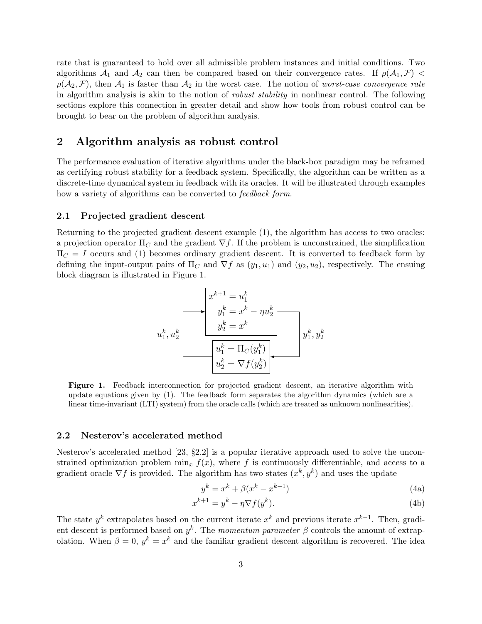rate that is guaranteed to hold over all admissible problem instances and initial conditions. Two algorithms  $\mathcal{A}_1$  and  $\mathcal{A}_2$  can then be compared based on their convergence rates. If  $\rho(\mathcal{A}_1, \mathcal{F})$  $\rho(\mathcal{A}_2, \mathcal{F})$ , then  $\mathcal{A}_1$  is faster than  $\mathcal{A}_2$  in the worst case. The notion of worst-case convergence rate in algorithm analysis is akin to the notion of *robust stability* in nonlinear control. The following sections explore this connection in greater detail and show how tools from robust control can be brought to bear on the problem of algorithm analysis.

### 2 Algorithm analysis as robust control

The performance evaluation of iterative algorithms under the black-box paradigm may be reframed as certifying robust stability for a feedback system. Specifically, the algorithm can be written as a discrete-time dynamical system in feedback with its oracles. It will be illustrated through examples how a variety of algorithms can be converted to *feedback form*.

#### 2.1 Projected gradient descent

<span id="page-2-0"></span>Returning to the projected gradient descent example [\(1\)](#page-1-2), the algorithm has access to two oracles: a projection operator  $\Pi_C$  and the gradient  $\nabla f$ . If the problem is unconstrained, the simplification  $\Pi_C = I$  occurs and [\(1\)](#page-1-2) becomes ordinary gradient descent. It is converted to feedback form by defining the input-output pairs of  $\Pi_C$  and  $\nabla f$  as  $(y_1, u_1)$  and  $(y_2, u_2)$ , respectively. The ensuing block diagram is illustrated in Figure [1.](#page-2-0)

$$
u_1^k, u_2^k
$$
\n
$$
u_1^k, u_2^k
$$
\n
$$
u_1^k = x^k - \eta u_2^k
$$
\n
$$
u_1^k = \frac{y_2^k}{u_1^k} = \frac{1}{\eta} \left( \frac{y_1^k}{u_2^k} \right)
$$
\n
$$
u_2^k = \nabla f(y_2^k)
$$

Figure 1. Feedback interconnection for projected gradient descent, an iterative algorithm with update equations given by [\(1\)](#page-1-2). The feedback form separates the algorithm dynamics (which are a linear time-invariant (LTI) system) from the oracle calls (which are treated as unknown nonlinearities).

#### 2.2 Nesterov's accelerated method

Nesterov's accelerated method [\[23,](#page-21-0) §2.2] is a popular iterative approach used to solve the unconstrained optimization problem  $\min_x f(x)$ , where f is continuously differentiable, and access to a gradient oracle  $\nabla f$  is provided. The algorithm has two states  $(x^k, y^k)$  and uses the update

<span id="page-2-3"></span><span id="page-2-2"></span><span id="page-2-1"></span>
$$
y^k = x^k + \beta(x^k - x^{k-1})
$$
\n<sup>(4a)</sup>

$$
x^{k+1} = y^k - \eta \nabla f(y^k). \tag{4b}
$$

The state  $y^k$  extrapolates based on the current iterate  $x^k$  and previous iterate  $x^{k-1}$ . Then, gradient descent is performed based on  $y^k$ . The momentum parameter  $\beta$  controls the amount of extrapolation. When  $\beta = 0$ ,  $y^k = x^k$  and the familiar gradient descent algorithm is recovered. The idea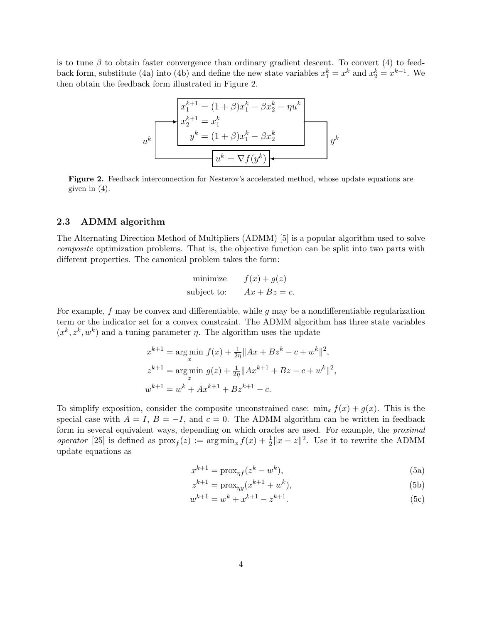<span id="page-3-0"></span>is to tune  $\beta$  to obtain faster convergence than ordinary gradient descent. To convert [\(4\)](#page-2-1) to feed-back form, substitute [\(4a\)](#page-2-2) into [\(4b\)](#page-2-3) and define the new state variables  $x_1^k = x^k$  and  $x_2^k = x^{k-1}$ . We then obtain the feedback form illustrated in Figure [2.](#page-3-0)

$$
u^k
$$
\n
$$
u^k
$$
\n
$$
u^k
$$
\n
$$
u^k
$$
\n
$$
u^k = (1 + \beta)x_1^k - \beta x_2^k - \eta u^k
$$
\n
$$
y^k = (1 + \beta)x_1^k - \beta x_2^k
$$
\n
$$
u^k = \nabla f(y^k)
$$

Figure 2. Feedback interconnection for Nesterov's accelerated method, whose update equations are given in [\(4\)](#page-2-1).

#### 2.3 ADMM algorithm

The Alternating Direction Method of Multipliers (ADMM) [\[5\]](#page-20-0) is a popular algorithm used to solve composite optimization problems. That is, the objective function can be split into two parts with different properties. The canonical problem takes the form:

minimize 
$$
f(x) + g(z)
$$
  
subject to:  $Ax + Bz = c$ .

For example,  $f$  may be convex and differentiable, while  $g$  may be a nondifferentiable regularization term or the indicator set for a convex constraint. The ADMM algorithm has three state variables  $(x^k, z^k, w^k)$  and a tuning parameter  $\eta$ . The algorithm uses the update

$$
x^{k+1} = \underset{x}{\arg\min} f(x) + \frac{1}{2\eta} \|Ax + Bz^k - c + w^k\|^2,
$$
  
\n
$$
z^{k+1} = \underset{z}{\arg\min} g(z) + \frac{1}{2\eta} \|Ax^{k+1} + Bz - c + w^k\|^2,
$$
  
\n
$$
w^{k+1} = w^k + Ax^{k+1} + Bz^{k+1} - c.
$$

To simplify exposition, consider the composite unconstrained case:  $\min_x f(x) + g(x)$ . This is the special case with  $A = I$ ,  $B = -I$ , and  $c = 0$ . The ADMM algorithm can be written in feedback form in several equivalent ways, depending on which oracles are used. For example, the *proximal* operator [\[25\]](#page-21-1) is defined as  $prox_f(z) := arg min_x f(x) + \frac{1}{2} ||x - z||^2$ . Use it to rewrite the ADMM update equations as

<span id="page-3-1"></span>
$$
x^{k+1} = \text{prox}_{\eta f}(z^k - w^k),\tag{5a}
$$

$$
z^{k+1} = \text{prox}_{\eta g}(x^{k+1} + w^k),\tag{5b}
$$

$$
w^{k+1} = w^k + x^{k+1} - z^{k+1}.
$$
 (5c)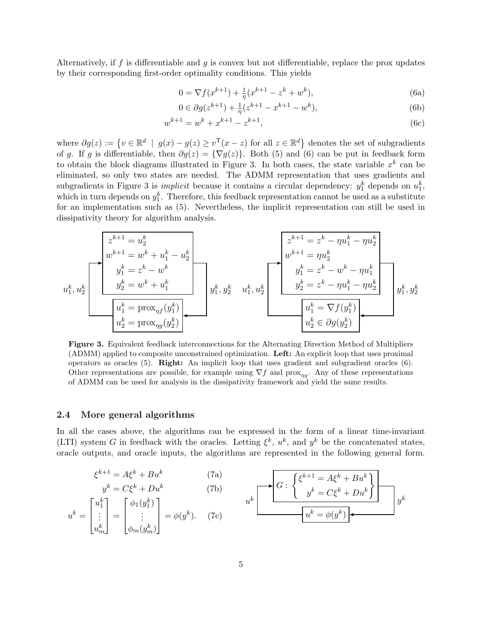Alternatively, if f is differentiable and g is convex but not differentiable, replace the prox updates by their corresponding first-order optimality conditions. This yields

<span id="page-4-0"></span>
$$
0 = \nabla f(x^{k+1}) + \frac{1}{\eta}(x^{k+1} - z^k + w^k),\tag{6a}
$$

$$
0 \in \partial g(z^{k+1}) + \frac{1}{\eta}(z^{k+1} - x^{k+1} - w^k),\tag{6b}
$$

$$
w^{k+1} = w^k + x^{k+1} - z^{k+1},\tag{6c}
$$

where  $\partial g(z) := \{ v \in \mathbb{R}^d \mid g(x) - g(z) \ge v^{\mathsf{T}}(x - z) \text{ for all } z \in \mathbb{R}^d \}$  denotes the set of subgradients of g. If g is differentiable, then  $\partial g(z) = {\nabla g(z)}$ . Both [\(5\)](#page-3-1) and [\(6\)](#page-4-0) can be put in feedback form to obtain the block diagrams illustrated in Figure [3.](#page-4-1) In both cases, the state variable  $x^k$  can be eliminated, so only two states are needed. The ADMM representation that uses gradients and subgradients in Figure [3](#page-4-1) is *implicit* because it contains a circular dependency:  $y_1^k$  depends on  $u_1^k$ , which in turn depends on  $y_1^k$ . Therefore, this feedback representation cannot be used as a substitute for an implementation such as [\(5\)](#page-3-1). Nevertheless, the implicit representation can still be used in dissipativity theory for algorithm analysis.

<span id="page-4-1"></span>
$$
u_1^k, u_2^k
$$
\n
$$
u_1^k, u_2^k
$$
\n
$$
u_1^k = y_1^{k+1} = w_1^{k} + w_1^{k} - w_2^{k}
$$
\n
$$
u_1^k = z^k - w^k
$$
\n
$$
u_1^k = y_1^{k} = w_1^{k} + w_1^{k}
$$
\n
$$
u_1^k = y_1^{k} = w_1^{k} + w_1^{k}
$$
\n
$$
u_1^k = y_1^{k} = w_1^{k} - w_1^{k}
$$
\n
$$
u_1^k = w_1^{k} - w_1^{k}
$$
\n
$$
u_1^k = w_1^{k} - w_1^{k}
$$
\n
$$
u_1^k = w_1^{k} - w_1^{k}
$$
\n
$$
u_1^k = w_1^{k} - w_1^{k}
$$
\n
$$
u_1^k = w_1^{k} - w_1^{k}
$$
\n
$$
u_1^k = w_1^{k} - w_1^{k}
$$
\n
$$
u_1^k = w_1^{k} - w_1^{k}
$$
\n
$$
u_1^k = w_1^{k} - w_1^{k}
$$
\n
$$
u_1^k = w_1^{k} - w_1^{k}
$$
\n
$$
u_1^k = w_1^{k} - w_1^{k}
$$
\n
$$
u_1^k = w_1^{k} - w_1^{k}
$$
\n
$$
u_1^k = w_1^{k} - w_1^{k}
$$
\n
$$
u_1^k = w_1^{k} - w_1^{k}
$$
\n
$$
u_1^k = w_1^{k} - w_1^{k}
$$
\n
$$
u_1^k = w_1^{k} - w_1^{k}
$$
\n
$$
u_1^k = w_1^{k} - w_1^{k}
$$
\n
$$
u_1^k = w_1^{k} - w_1^{k}
$$
\n
$$
u_1^k = w_1^{k} - w_1^{k}
$$
\n
$$
u_1^k = w_1^{k} - w_1^{k}
$$
\n
$$
u_1^k = w_1^{k} -
$$

Figure 3. Equivalent feedback interconnections for the Alternating Direction Method of Multipliers (ADMM) applied to composite unconstrained optimization. Left: An explicit loop that uses proximal operators as oracles [\(5\)](#page-3-1). Right: An implicit loop that uses gradient and subgradient oracles [\(6\)](#page-4-0). Other representations are possible, for example using  $\nabla f$  and prox<sub>ng</sub>. Any of these representations of ADMM can be used for analysis in the dissipativity framework and yield the same results.

#### 2.4 More general algorithms

In all the cases above, the algorithms can be expressed in the form of a linear time-invariant (LTI) system G in feedback with the oracles. Letting  $\xi^k$ ,  $u^k$ , and  $y^k$  be the concatenated states, oracle outputs, and oracle inputs, the algorithms are represented in the following general form.

<span id="page-4-2"></span>
$$
\xi^{k+1} = A\xi^k + Bu^k \qquad (7a)
$$
  
\n
$$
y^k = C\xi^k + Du^k \qquad (7b)
$$
  
\n
$$
u^k = \begin{bmatrix} u_1^k \\ \vdots \\ u_m^k \end{bmatrix} = \begin{bmatrix} \phi_1(y_1^k) \\ \vdots \\ \phi_m(y_m^k) \end{bmatrix} = \phi(y^k). \qquad (7c)
$$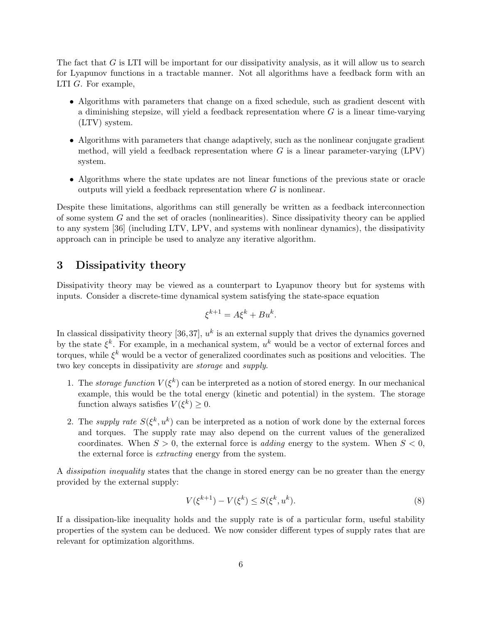The fact that G is LTI will be important for our dissipativity analysis, as it will allow us to search for Lyapunov functions in a tractable manner. Not all algorithms have a feedback form with an LTI G. For example,

- Algorithms with parameters that change on a fixed schedule, such as gradient descent with a diminishing stepsize, will yield a feedback representation where  $G$  is a linear time-varying (LTV) system.
- Algorithms with parameters that change adaptively, such as the nonlinear conjugate gradient method, will yield a feedback representation where  $G$  is a linear parameter-varying (LPV) system.
- Algorithms where the state updates are not linear functions of the previous state or oracle outputs will yield a feedback representation where  $G$  is nonlinear.

Despite these limitations, algorithms can still generally be written as a feedback interconnection of some system  $G$  and the set of oracles (nonlinearities). Since dissipativity theory can be applied to any system [\[36\]](#page-21-2) (including LTV, LPV, and systems with nonlinear dynamics), the dissipativity approach can in principle be used to analyze any iterative algorithm.

### 3 Dissipativity theory

Dissipativity theory may be viewed as a counterpart to Lyapunov theory but for systems with inputs. Consider a discrete-time dynamical system satisfying the state-space equation

$$
\xi^{k+1} = A\xi^k + Bu^k.
$$

In classical dissipativity theory [\[36,](#page-21-2)37],  $u<sup>k</sup>$  is an external supply that drives the dynamics governed by the state  $\xi^k$ . For example, in a mechanical system,  $u^k$  would be a vector of external forces and torques, while  $\xi^k$  would be a vector of generalized coordinates such as positions and velocities. The two key concepts in dissipativity are storage and supply.

- 1. The storage function  $V(\xi^k)$  can be interpreted as a notion of stored energy. In our mechanical example, this would be the total energy (kinetic and potential) in the system. The storage function always satisfies  $V(\xi^k) \geq 0$ .
- 2. The *supply rate*  $S(\xi^k, u^k)$  can be interpreted as a notion of work done by the external forces and torques. The supply rate may also depend on the current values of the generalized coordinates. When  $S > 0$ , the external force is *adding* energy to the system. When  $S < 0$ , the external force is extracting energy from the system.

A dissipation inequality states that the change in stored energy can be no greater than the energy provided by the external supply:

<span id="page-5-0"></span>
$$
V(\xi^{k+1}) - V(\xi^k) \le S(\xi^k, u^k). \tag{8}
$$

If a dissipation-like inequality holds and the supply rate is of a particular form, useful stability properties of the system can be deduced. We now consider different types of supply rates that are relevant for optimization algorithms.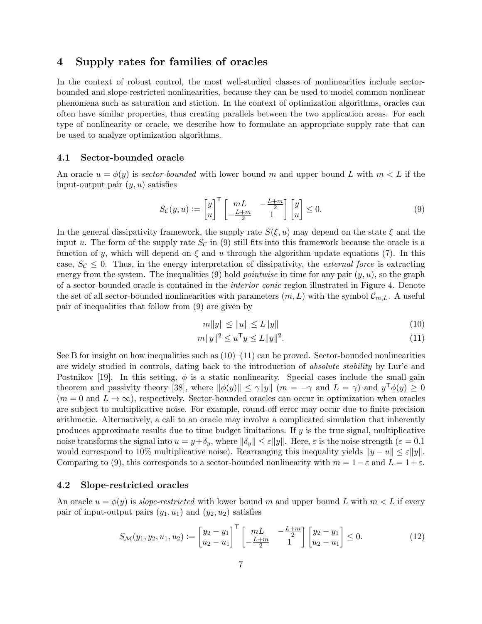# 4 Supply rates for families of oracles

In the context of robust control, the most well-studied classes of nonlinearities include sectorbounded and slope-restricted nonlinearities, because they can be used to model common nonlinear phenomena such as saturation and stiction. In the context of optimization algorithms, oracles can often have similar properties, thus creating parallels between the two application areas. For each type of nonlinearity or oracle, we describe how to formulate an appropriate supply rate that can be used to analyze optimization algorithms.

#### 4.1 Sector-bounded oracle

An oracle  $u = \phi(y)$  is sector-bounded with lower bound m and upper bound L with  $m < L$  if the input-output pair  $(y, u)$  satisfies

<span id="page-6-0"></span>
$$
S_{\mathcal{C}}(y, u) := \begin{bmatrix} y \\ u \end{bmatrix}^{\mathsf{T}} \begin{bmatrix} mL & -\frac{L+m}{2} \\ -\frac{L+m}{2} & 1 \end{bmatrix} \begin{bmatrix} y \\ u \end{bmatrix} \leq 0. \tag{9}
$$

In the general dissipativity framework, the supply rate  $S(\xi, u)$  may depend on the state  $\xi$  and the input u. The form of the supply rate  $S_{\mathcal{C}}$  in [\(9\)](#page-6-0) still fits into this framework because the oracle is a function of y, which will depend on  $\xi$  and u through the algorithm update equations [\(7\)](#page-4-2). In this case,  $S_c \leq 0$ . Thus, in the energy interpretation of dissipativity, the *external force* is extracting energy from the system. The inequalities [\(9\)](#page-6-0) hold *pointwise* in time for any pair  $(y, u)$ , so the graph of a sector-bounded oracle is contained in the interior conic region illustrated in Figure [4.](#page-7-0) Denote the set of all sector-bounded nonlinearities with parameters  $(m, L)$  with the symbol  $\mathcal{C}_{m,L}$ . A useful pair of inequalities that follow from [\(9\)](#page-6-0) are given by

<span id="page-6-2"></span><span id="page-6-1"></span>
$$
m||y|| \le ||u|| \le L||y|| \tag{10}
$$

$$
m||y||^2 \le u^{\mathsf{T}} y \le L||y||^2. \tag{11}
$$

See [B](#page-23-0) for insight on how inequalities such as  $(10)$ – $(11)$  can be proved. Sector-bounded nonlinearities are widely studied in controls, dating back to the introduction of absolute stability by Lur'e and Postnikov [\[19\]](#page-20-1). In this setting,  $\phi$  is a static nonlinearity. Special cases include the small-gain theorem and passivity theory [\[38\]](#page-21-4), where  $\|\phi(y)\| \leq \gamma \|y\|$   $(m = -\gamma \text{ and } L = \gamma)$  and  $y^{\mathsf{T}}\phi(y) \geq 0$  $(m = 0 \text{ and } L \to \infty)$ , respectively. Sector-bounded oracles can occur in optimization when oracles are subject to multiplicative noise. For example, round-off error may occur due to finite-precision arithmetic. Alternatively, a call to an oracle may involve a complicated simulation that inherently produces approximate results due to time budget limitations. If y is the true signal, multiplicative noise transforms the signal into  $u = y + \delta_y$ , where  $\|\delta_y\| \leq \varepsilon \|y\|$ . Here,  $\varepsilon$  is the noise strength  $(\varepsilon = 0.1)$ would correspond to 10% multiplicative noise). Rearranging this inequality yields  $||y - u|| \leq \varepsilon ||y||$ . Comparing to [\(9\)](#page-6-0), this corresponds to a sector-bounded nonlinearity with  $m = 1 - \varepsilon$  and  $L = 1 + \varepsilon$ .

### 4.2 Slope-restricted oracles

An oracle  $u = \phi(y)$  is slope-restricted with lower bound m and upper bound L with  $m < L$  if every pair of input-output pairs  $(y_1, u_1)$  and  $(y_2, u_2)$  satisfies

<span id="page-6-3"></span>
$$
S_{\mathcal{M}}(y_1, y_2, u_1, u_2) := \begin{bmatrix} y_2 - y_1 \\ u_2 - u_1 \end{bmatrix}^\top \begin{bmatrix} mL & -\frac{L+m}{2} \\ -\frac{L+m}{2} & 1 \end{bmatrix} \begin{bmatrix} y_2 - y_1 \\ u_2 - u_1 \end{bmatrix} \le 0. \tag{12}
$$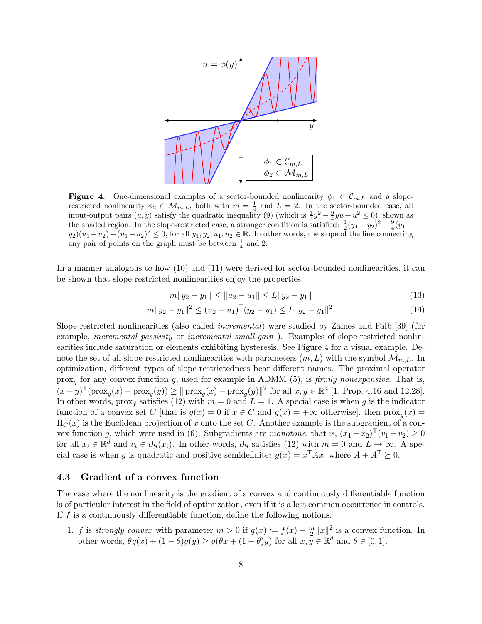<span id="page-7-0"></span>

**Figure 4.** One-dimensional examples of a sector-bounded nonlinearity  $\phi_1 \in \mathcal{C}_{m,L}$  and a sloperestricted nonlinearity  $\phi_2 \in \mathcal{M}_{m,L}$ , both with  $m = \frac{1}{4}$  and  $L = 2$ . In the sector-bounded case, all input-output pairs  $(u, y)$  satisfy the quadratic inequality [\(9\)](#page-6-0) (which is  $\frac{1}{2}y^2 - \frac{9}{4}yu + u^2 \le 0$ ), shown as the shaded region. In the slope-restricted case, a stronger condition is satisfied:  $\frac{1}{2}(y_1 - y_2)^2 - \frac{9}{4}(y_1 - y_2)^2$  $y_2(x_1-u_2)+(u_1-u_2)^2\leq 0$ , for all  $y_1, y_2, u_1, u_2\in \mathbb{R}$ . In other words, the slope of the line connecting any pair of points on the graph must be between  $\frac{1}{4}$  and 2.

In a manner analogous to how [\(10\)](#page-6-1) and [\(11\)](#page-6-2) were derived for sector-bounded nonlinearities, it can be shown that slope-restricted nonlinearities enjoy the properties

<span id="page-7-1"></span>
$$
m||y_2 - y_1|| \le ||u_2 - u_1|| \le L||y_2 - y_1|| \tag{13}
$$

$$
m||y_2 - y_1||^2 \le (u_2 - u_1)^{\mathsf{T}}(y_2 - y_1) \le L||y_2 - y_1||^2. \tag{14}
$$

Slope-restricted nonlinearities (also called incremental) were studied by Zames and Falb [\[39\]](#page-21-5) (for example, *incremental passivity* or *incremental small-qain*). Examples of slope-restricted nonlinearities include saturation or elements exhibiting hysteresis. See Figure [4](#page-7-0) for a visual example. Denote the set of all slope-restricted nonlinearities with parameters  $(m, L)$  with the symbol  $\mathcal{M}_{m,L}$ . In optimization, different types of slope-restrictedness bear different names. The proximal operator  $\text{prox}_{g}$  for any convex function g, used for example in ADMM [\(5\)](#page-3-1), is *firmly nonexpansive*. That is,  $(x-y)^{\mathsf{T}}(\text{prox}_{g}(x) - \text{prox}_{g}(y)) \ge ||\text{prox}_{g}(x) - \text{prox}_{g}(y)||^{2}$  for all  $x, y \in \mathbb{R}^{d}$  [\[1,](#page-20-2) Prop. 4.16 and 12.28]. In other words,  $\max_f$  satisfies [\(12\)](#page-6-3) with  $m = 0$  and  $L = 1$ . A special case is when g is the indicator function of a convex set C [that is  $g(x) = 0$  if  $x \in C$  and  $g(x) = +\infty$  otherwise], then  $\text{prox}_{g}(x) =$  $\Pi_C(x)$  is the Euclidean projection of x onto the set C. Another example is the subgradient of a con-vex function g, which were used in [\(6\)](#page-4-0). Subgradients are monotone, that is,  $(x_1 - x_2)^\mathsf{T} (v_1 - v_2) \geq 0$ for all  $x_i \in \mathbb{R}^d$  and  $v_i \in \partial g(x_i)$ . In other words,  $\partial g$  satisfies [\(12\)](#page-6-3) with  $m = 0$  and  $L \to \infty$ . A special case is when g is quadratic and positive semidefinite:  $g(x) = x^{\mathsf{T}} A x$ , where  $A + A^{\mathsf{T}} \succeq 0$ .

#### 4.3 Gradient of a convex function

The case where the nonlinearity is the gradient of a convex and continuously differentiable function is of particular interest in the field of optimization, even if it is a less common occurrence in controls. If  $f$  is a continuously differentiable function, define the following notions.

1. f is strongly convex with parameter  $m > 0$  if  $g(x) := f(x) - \frac{m}{2}$  $\frac{m}{2}||x||^2$  is a convex function. In other words,  $\theta g(x) + (1 - \theta)g(y) \ge g(\theta x + (1 - \theta)y)$  for all  $x, y \in \mathbb{R}^d$  and  $\theta \in [0, 1]$ .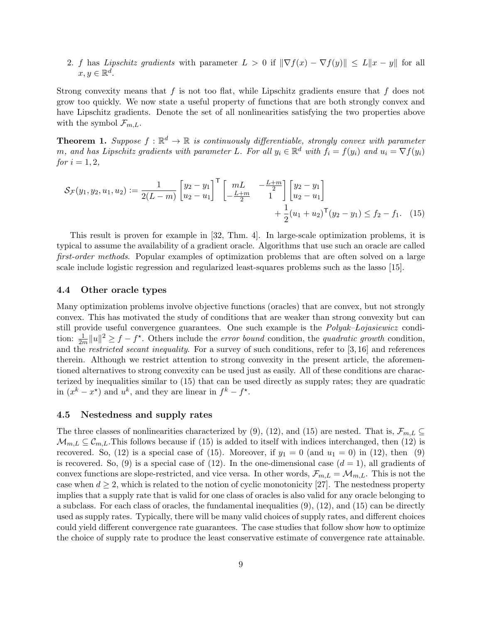2. f has Lipschitz gradients with parameter  $L > 0$  if  $\|\nabla f(x) - \nabla f(y)\| \le L \|x - y\|$  for all  $x, y \in \mathbb{R}^d$ .

Strong convexity means that  $f$  is not too flat, while Lipschitz gradients ensure that  $f$  does not grow too quickly. We now state a useful property of functions that are both strongly convex and have Lipschitz gradients. Denote the set of all nonlinearities satisfying the two properties above with the symbol  $\mathcal{F}_{m,L}$ .

**Theorem 1.** Suppose  $f : \mathbb{R}^d \to \mathbb{R}$  is continuously differentiable, strongly convex with parameter m, and has Lipschitz gradients with parameter L. For all  $y_i \in \mathbb{R}^d$  with  $f_i = f(y_i)$  and  $u_i = \nabla f(y_i)$ for  $i = 1, 2$ ,

<span id="page-8-0"></span>
$$
\mathcal{S}_{\mathcal{F}}(y_1, y_2, u_1, u_2) := \frac{1}{2(L-m)} \begin{bmatrix} y_2 - y_1 \\ u_2 - u_1 \end{bmatrix}^\mathsf{T} \begin{bmatrix} mL & -\frac{L+m}{2} \\ -\frac{L+m}{2} & 1 \end{bmatrix} \begin{bmatrix} y_2 - y_1 \\ u_2 - u_1 \end{bmatrix} + \frac{1}{2}(u_1 + u_2)^\mathsf{T} (y_2 - y_1) \le f_2 - f_1. \tag{15}
$$

This result is proven for example in [\[32,](#page-21-6) Thm. 4]. In large-scale optimization problems, it is typical to assume the availability of a gradient oracle. Algorithms that use such an oracle are called first-order methods. Popular examples of optimization problems that are often solved on a large scale include logistic regression and regularized least-squares problems such as the lasso [\[15\]](#page-20-3).

### 4.4 Other oracle types

Many optimization problems involve objective functions (oracles) that are convex, but not strongly convex. This has motivated the study of conditions that are weaker than strong convexity but can still provide useful convergence guarantees. One such example is the Polyak-Lojasiewicz condition:  $\frac{1}{2m}||u||^2 \ge f - f^*$ . Others include the *error bound* condition, the *quadratic growth* condition, and the restricted secant inequality. For a survey of such conditions, refer to [\[3,](#page-20-4) [16\]](#page-20-5) and references therein. Although we restrict attention to strong convexity in the present article, the aforementioned alternatives to strong convexity can be used just as easily. All of these conditions are characterized by inequalities similar to [\(15\)](#page-8-0) that can be used directly as supply rates; they are quadratic in  $(x^k - x^*)$  and  $u^k$ , and they are linear in  $f^k - f^*$ .

#### 4.5 Nestedness and supply rates

The three classes of nonlinearities characterized by [\(9\)](#page-6-0), [\(12\)](#page-6-3), and [\(15\)](#page-8-0) are nested. That is,  $\mathcal{F}_{m,L} \subseteq$  $\mathcal{M}_{m,L} \subseteq \mathcal{C}_{m,L}$ . This follows because if [\(15\)](#page-8-0) is added to itself with indices interchanged, then [\(12\)](#page-6-3) is recovered. So, [\(12\)](#page-6-3) is a special case of [\(15\)](#page-8-0). Moreover, if  $y_1 = 0$  (and  $u_1 = 0$ ) in (12), then [\(9\)](#page-6-0) is recovered. So, [\(9\)](#page-6-0) is a special case of [\(12\)](#page-6-3). In the one-dimensional case  $(d = 1)$ , all gradients of convex functions are slope-restricted, and vice versa. In other words,  $\mathcal{F}_{m,L} = \mathcal{M}_{m,L}$ . This is not the case when  $d \geq 2$ , which is related to the notion of cyclic monotonicity [\[27\]](#page-21-7). The nestedness property implies that a supply rate that is valid for one class of oracles is also valid for any oracle belonging to a subclass. For each class of oracles, the fundamental inequalities  $(9)$ ,  $(12)$ , and  $(15)$  can be directly used as supply rates. Typically, there will be many valid choices of supply rates, and different choices could yield different convergence rate guarantees. The case studies that follow show how to optimize the choice of supply rate to produce the least conservative estimate of convergence rate attainable.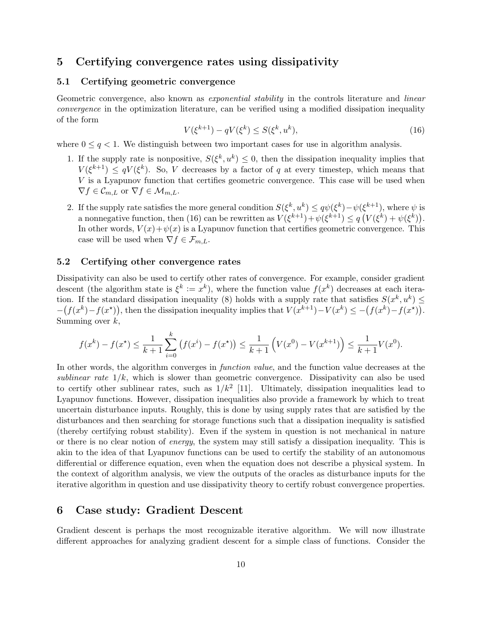### 5 Certifying convergence rates using dissipativity

### 5.1 Certifying geometric convergence

<span id="page-9-0"></span>Geometric convergence, also known as *exponential stability* in the controls literature and *linear* convergence in the optimization literature, can be verified using a modified dissipation inequality of the form

$$
V(\xi^{k+1}) - qV(\xi^k) \le S(\xi^k, u^k),
$$
\n(16)

where  $0 \leq q < 1$ . We distinguish between two important cases for use in algorithm analysis.

- 1. If the supply rate is nonpositive,  $S(\xi^k, u^k) \leq 0$ , then the dissipation inequality implies that  $V(\xi^{k+1}) \leq qV(\xi^k)$ . So, V decreases by a factor of q at every timestep, which means that  $V$  is a Lyapunov function that certifies geometric convergence. This case will be used when  $\nabla f \in \mathcal{C}_{m,L}$  or  $\nabla f \in \mathcal{M}_{m,L}$ .
- 2. If the supply rate satisfies the more general condition  $S(\xi^k, u^k) \le q\psi(\xi^k) \psi(\xi^{k+1}),$  where  $\psi$  is a nonnegative function, then [\(16\)](#page-9-0) can be rewritten as  $V(\xi^{k+1}) + \psi(\xi^{k+1}) \le q(V(\xi^k) + \psi(\xi^k)).$ In other words,  $V(x) + \psi(x)$  is a Lyapunov function that certifies geometric convergence. This case will be used when  $\nabla f \in \mathcal{F}_{m,L}$ .

#### 5.2 Certifying other convergence rates

Dissipativity can also be used to certify other rates of convergence. For example, consider gradient descent (the algorithm state is  $\xi^k := x^k$ ), where the function value  $f(x^k)$  decreases at each itera-tion. If the standard dissipation inequality [\(8\)](#page-5-0) holds with a supply rate that satisfies  $S(x^k, u^k) \leq$  $-(f(x^k) - f(x^*))$ , then the dissipation inequality implies that  $V(x^{k+1}) - V(x^k) \le -(f(x^k) - f(x^*))$ . Summing over  $k$ ,

$$
f(x^{k}) - f(x^{*}) \le \frac{1}{k+1} \sum_{i=0}^{k} (f(x^{i}) - f(x^{*})) \le \frac{1}{k+1} \left( V(x^{0}) - V(x^{k+1}) \right) \le \frac{1}{k+1} V(x^{0}).
$$

In other words, the algorithm converges in *function value*, and the function value decreases at the sublinear rate  $1/k$ , which is slower than geometric convergence. Dissipativity can also be used to certify other sublinear rates, such as  $1/k^2$  [\[11\]](#page-20-6). Ultimately, dissipation inequalities lead to Lyapunov functions. However, dissipation inequalities also provide a framework by which to treat uncertain disturbance inputs. Roughly, this is done by using supply rates that are satisfied by the disturbances and then searching for storage functions such that a dissipation inequality is satisfied (thereby certifying robust stability). Even if the system in question is not mechanical in nature or there is no clear notion of energy, the system may still satisfy a dissipation inequality. This is akin to the idea of that Lyapunov functions can be used to certify the stability of an autonomous differential or difference equation, even when the equation does not describe a physical system. In the context of algorithm analysis, we view the outputs of the oracles as disturbance inputs for the iterative algorithm in question and use dissipativity theory to certify robust convergence properties.

### 6 Case study: Gradient Descent

Gradient descent is perhaps the most recognizable iterative algorithm. We will now illustrate different approaches for analyzing gradient descent for a simple class of functions. Consider the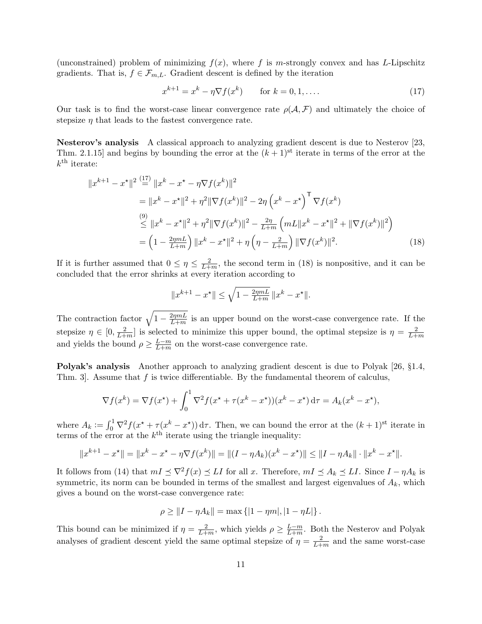(unconstrained) problem of minimizing  $f(x)$ , where f is m-strongly convex and has L-Lipschitz gradients. That is,  $f \in \mathcal{F}_{m,L}$ . Gradient descent is defined by the iteration

<span id="page-10-0"></span>
$$
x^{k+1} = x^k - \eta \nabla f(x^k) \qquad \text{for } k = 0, 1, \dots
$$
 (17)

Our task is to find the worst-case linear convergence rate  $\rho(\mathcal{A}, \mathcal{F})$  and ultimately the choice of stepsize  $\eta$  that leads to the fastest convergence rate.

Nesterov's analysis A classical approach to analyzing gradient descent is due to Nesterov [\[23,](#page-21-0) Thm. 2.1.15] and begins by bounding the error at the  $(k+1)$ <sup>st</sup> iterate in terms of the error at the  $k^{\text{th}}$  iterate:

$$
||x^{k+1} - x^*||^2 \stackrel{(17)}{=} ||x^k - x^* - \eta \nabla f(x^k)||^2
$$
  
\n
$$
= ||x^k - x^*||^2 + \eta^2 ||\nabla f(x^k)||^2 - 2\eta (x^k - x^*)^T \nabla f(x^k)
$$
  
\n
$$
\stackrel{(9)}{\leq} ||x^k - x^*||^2 + \eta^2 ||\nabla f(x^k)||^2 - \frac{2\eta}{L+m} (mL||x^k - x^*||^2 + ||\nabla f(x^k)||^2)
$$
  
\n
$$
= (1 - \frac{2\eta mL}{L+m}) ||x^k - x^*||^2 + \eta (\eta - \frac{2}{L+m}) ||\nabla f(x^k)||^2.
$$
 (18)

If it is further assumed that  $0 \leq \eta \leq \frac{2}{L+1}$  $\frac{2}{L+m}$ , the second term in [\(18\)](#page-10-1) is nonpositive, and it can be concluded that the error shrinks at every iteration according to

<span id="page-10-1"></span>
$$
||x^{k+1} - x^*|| \le \sqrt{1 - \frac{2\eta mL}{L+m}} \, ||x^k - x^*||.
$$

The contraction factor  $\sqrt{1 - \frac{2\eta mL}{L+m}}$  $\frac{2\eta mL}{L+m}$  is an upper bound on the worst-case convergence rate. If the stepsize  $\eta \in [0, \frac{2}{L+1}]$  $\frac{2}{L+m}$  is selected to minimize this upper bound, the optimal stepsize is  $\eta = \frac{2}{L+m}$  $_{L+m}$ and yields the bound  $\rho \geq \frac{L-m}{L+m}$  $\frac{L-m}{L+m}$  on the worst-case convergence rate.

Polyak's analysis Another approach to analyzing gradient descent is due to Polyak [\[26,](#page-21-8) §1.4, Thm. 3. Assume that  $f$  is twice differentiable. By the fundamental theorem of calculus,

$$
\nabla f(x^k) = \nabla f(x^*) + \int_0^1 \nabla^2 f(x^* + \tau(x^k - x^*)) (x^k - x^*) d\tau = A_k (x^k - x^*),
$$

where  $A_k := \int_0^1 \nabla^2 f(x^* + \tau(x^k - x^*)) d\tau$ . Then, we can bound the error at the  $(k+1)^{st}$  iterate in terms of the error at the  $k^{\text{th}}$  iterate using the triangle inequality:

$$
||x^{k+1} - x^*|| = ||x^k - x^* - \eta \nabla f(x^k)|| = ||(I - \eta A_k)(x^k - x^*)|| \le ||I - \eta A_k|| \cdot ||x^k - x^*||.
$$

It follows from [\(14\)](#page-7-1) that  $mI \preceq \nabla^2 f(x) \preceq LI$  for all x. Therefore,  $mI \preceq A_k \preceq LI$ . Since  $I - \eta A_k$  is symmetric, its norm can be bounded in terms of the smallest and largest eigenvalues of  $A_k$ , which gives a bound on the worst-case convergence rate:

$$
\rho \geq ||I - \eta A_k|| = \max\{|1 - \eta m|, |1 - \eta L|\}.
$$

This bound can be minimized if  $\eta = \frac{2}{L+1}$  $\frac{2}{L+m}$ , which yields  $\rho \geq \frac{L-m}{L+m}$  $\frac{L-m}{L+m}$ . Both the Nesterov and Polyak analyses of gradient descent yield the same optimal stepsize of  $\eta = \frac{2}{l+1}$  $\frac{2}{L+m}$  and the same worst-case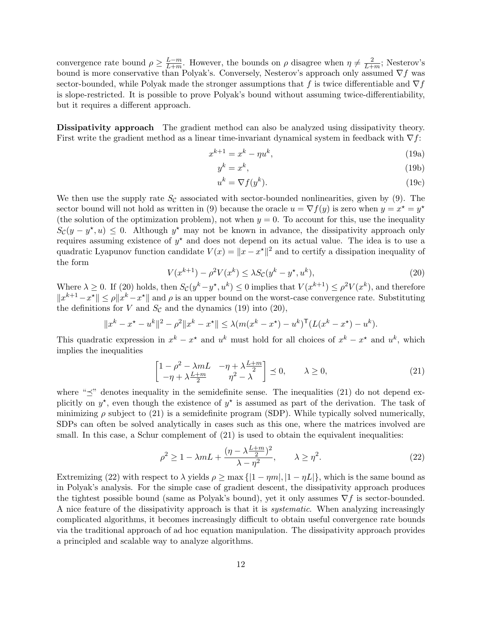convergence rate bound  $\rho \geq \frac{L-m}{L+m}$  $\frac{L-m}{L+m}$ . However, the bounds on  $\rho$  disagree when  $\eta \neq \frac{2}{L+m}$ .  $\frac{2}{L+m}$ ; Nesterov's bound is more conservative than Polyak's. Conversely, Nesterov's approach only assumed  $\nabla f$  was sector-bounded, while Polyak made the stronger assumptions that f is twice differentiable and  $\nabla f$ is slope-restricted. It is possible to prove Polyak's bound without assuming twice-differentiability, but it requires a different approach.

Dissipativity approach The gradient method can also be analyzed using dissipativity theory. First write the gradient method as a linear time-invariant dynamical system in feedback with  $\nabla f$ :

$$
x^{k+1} = x^k - \eta u^k,\tag{19a}
$$

<span id="page-11-1"></span>
$$
y^k = x^k,\tag{19b}
$$

$$
u^k = \nabla f(y^k). \tag{19c}
$$

We then use the supply rate  $S_{\mathcal{C}}$  associated with sector-bounded nonlinearities, given by [\(9\)](#page-6-0). The sector bound will not hold as written in [\(9\)](#page-6-0) because the oracle  $u = \nabla f(y)$  is zero when  $y = x^* = y^*$ (the solution of the optimization problem), not when  $y = 0$ . To account for this, use the inequality  $S_{\mathcal{C}}(y - y^*, u) \leq 0$ . Although  $y^*$  may not be known in advance, the dissipativity approach only requires assuming existence of  $y^*$  and does not depend on its actual value. The idea is to use a quadratic Lyapunov function candidate  $V(x) = ||x - x^*||^2$  and to certify a dissipation inequality of the form

$$
V(x^{k+1}) - \rho^2 V(x^k) \le \lambda S_{\mathcal{C}}(y^k - y^\star, u^k),\tag{20}
$$

<span id="page-11-0"></span>Where  $\lambda \geq 0$ . If [\(20\)](#page-11-0) holds, then  $S_{\mathcal{C}}(y^k - y^*, u^k) \leq 0$  implies that  $V(x^{k+1}) \leq \rho^2 V(x^k)$ , and therefore  $||x^{k+1} - x^*|| \le \rho ||x^k - x^*||$  and  $\rho$  is an upper bound on the worst-case convergence rate. Substituting the definitions for V and  $S_{\mathcal{C}}$  and the dynamics [\(19\)](#page-11-1) into [\(20\)](#page-11-0),

$$
||x^{k} - x^{\star} - u^{k}||^{2} - \rho^{2}||x^{k} - x^{\star}|| \leq \lambda (m(x^{k} - x^{\star}) - u^{k})^{\mathsf{T}} (L(x^{k} - x^{\star}) - u^{k}).
$$

This quadratic expression in  $x^k - x^*$  and  $u^k$  must hold for all choices of  $x^k - x^*$  and  $u^k$ , which implies the inequalities

<span id="page-11-2"></span>
$$
\begin{bmatrix}\n1 - \rho^2 - \lambda mL & -\eta + \lambda \frac{L+m}{2} \\
-\eta + \lambda \frac{L+m}{2} & \eta^2 - \lambda\n\end{bmatrix} \preceq 0, \qquad \lambda \ge 0,
$$
\n(21)

where " $\leq$ " denotes inequality in the semidefinite sense. The inequalities [\(21\)](#page-11-2) do not depend explicitly on  $y^*$ , even though the existence of  $y^*$  is assumed as part of the derivation. The task of minimizing  $\rho$  subject to [\(21\)](#page-11-2) is a semidefinite program (SDP). While typically solved numerically, SDPs can often be solved analytically in cases such as this one, where the matrices involved are small. In this case, a Schur complement of  $(21)$  is used to obtain the equivalent inequalities:

<span id="page-11-3"></span>
$$
\rho^2 \ge 1 - \lambda m L + \frac{(\eta - \lambda \frac{L+m}{2})^2}{\lambda - \eta^2}, \qquad \lambda \ge \eta^2.
$$
 (22)

Extremizing [\(22\)](#page-11-3) with respect to  $\lambda$  yields  $\rho \ge \max\{|1 - \eta m|, |1 - \eta L|\}$ , which is the same bound as in Polyak's analysis. For the simple case of gradient descent, the dissipativity approach produces the tightest possible bound (same as Polyak's bound), yet it only assumes  $\nabla f$  is sector-bounded. A nice feature of the dissipativity approach is that it is systematic. When analyzing increasingly complicated algorithms, it becomes increasingly difficult to obtain useful convergence rate bounds via the traditional approach of ad hoc equation manipulation. The dissipativity approach provides a principled and scalable way to analyze algorithms.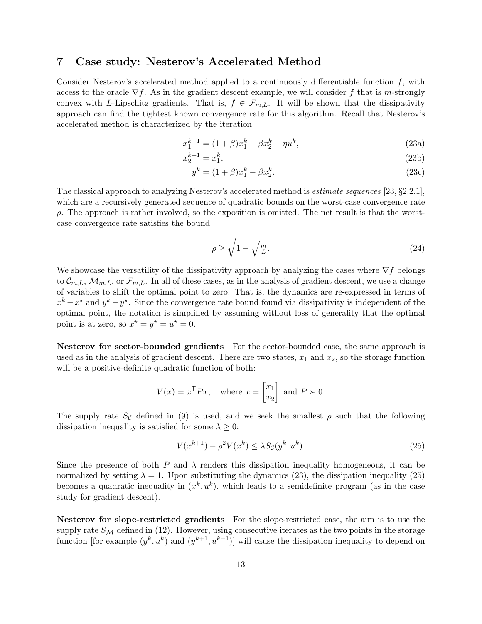### 7 Case study: Nesterov's Accelerated Method

Consider Nesterov's accelerated method applied to a continuously differentiable function  $f$ , with access to the oracle  $\nabla f$ . As in the gradient descent example, we will consider f that is m-strongly convex with L-Lipschitz gradients. That is,  $f \in \mathcal{F}_{m,L}$ . It will be shown that the dissipativity approach can find the tightest known convergence rate for this algorithm. Recall that Nesterov's accelerated method is characterized by the iteration

<span id="page-12-0"></span>
$$
x_1^{k+1} = (1+\beta)x_1^k - \beta x_2^k - \eta u^k, \tag{23a}
$$

$$
x_2^{k+1} = x_1^k,\tag{23b}
$$

<span id="page-12-2"></span>
$$
y^k = (1 + \beta)x_1^k - \beta x_2^k.
$$
 (23c)

The classical approach to analyzing Nesterov's accelerated method is estimate sequences [\[23,](#page-21-0) §2.2.1], which are a recursively generated sequence of quadratic bounds on the worst-case convergence rate ρ. The approach is rather involved, so the exposition is omitted. The net result is that the worstcase convergence rate satisfies the bound

<span id="page-12-3"></span>
$$
\rho \ge \sqrt{1 - \sqrt{\frac{m}{L}}}.\tag{24}
$$

We showcase the versatility of the dissipativity approach by analyzing the cases where  $\nabla f$  belongs to  $\mathcal{C}_{m,L}$ ,  $\mathcal{M}_{m,L}$ , or  $\mathcal{F}_{m,L}$ . In all of these cases, as in the analysis of gradient descent, we use a change of variables to shift the optimal point to zero. That is, the dynamics are re-expressed in terms of  $x^k - x^*$  and  $y^k - y^*$ . Since the convergence rate bound found via dissipativity is independent of the optimal point, the notation is simplified by assuming without loss of generality that the optimal point is at zero, so  $x^* = y^* = u^* = 0$ .

Nesterov for sector-bounded gradients For the sector-bounded case, the same approach is used as in the analysis of gradient descent. There are two states,  $x_1$  and  $x_2$ , so the storage function will be a positive-definite quadratic function of both:

$$
V(x) = x^{\mathsf{T}} P x, \quad \text{where } x = \begin{bmatrix} x_1 \\ x_2 \end{bmatrix} \text{ and } P \succ 0.
$$

The supply rate  $S_c$  defined in [\(9\)](#page-6-0) is used, and we seek the smallest  $\rho$  such that the following dissipation inequality is satisfied for some  $\lambda \geq 0$ :

<span id="page-12-1"></span>
$$
V(x^{k+1}) - \rho^2 V(x^k) \le \lambda S_{\mathcal{C}}(y^k, u^k). \tag{25}
$$

Since the presence of both P and  $\lambda$  renders this dissipation inequality homogeneous, it can be normalized by setting  $\lambda = 1$ . Upon substituting the dynamics [\(23\)](#page-12-0), the dissipation inequality [\(25\)](#page-12-1) becomes a quadratic inequality in  $(x^k, u^k)$ , which leads to a semidefinite program (as in the case study for gradient descent).

Nesterov for slope-restricted gradients For the slope-restricted case, the aim is to use the supply rate  $S_M$  defined in [\(12\)](#page-6-3). However, using consecutive iterates as the two points in the storage function [for example  $(y^k, u^k)$  and  $(y^{k+1}, u^{k+1})$ ] will cause the dissipation inequality to depend on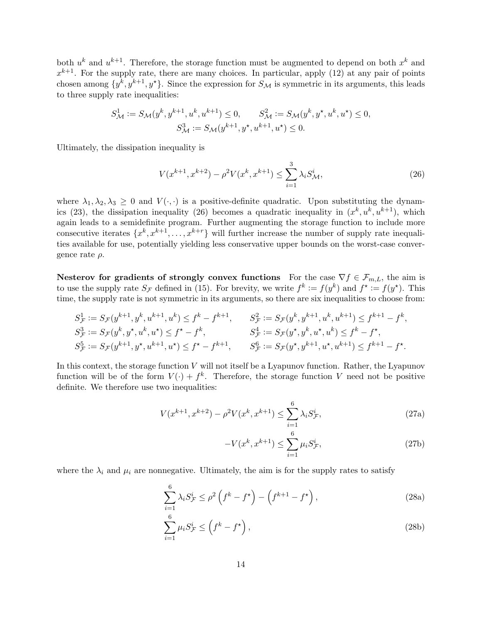both  $u^k$  and  $u^{k+1}$ . Therefore, the storage function must be augmented to depend on both  $x^k$  and  $x^{k+1}$ . For the supply rate, there are many choices. In particular, apply [\(12\)](#page-6-3) at any pair of points chosen among  $\{y^k, y^{k+1}, y^{\star}\}$ . Since the expression for  $S_{\mathcal{M}}$  is symmetric in its arguments, this leads to three supply rate inequalities:

$$
S_{\mathcal{M}}^{1} := S_{\mathcal{M}}(y^{k}, y^{k+1}, u^{k}, u^{k+1}) \leq 0, \qquad S_{\mathcal{M}}^{2} := S_{\mathcal{M}}(y^{k}, y^{\star}, u^{k}, u^{\star}) \leq 0,
$$
  

$$
S_{\mathcal{M}}^{3} := S_{\mathcal{M}}(y^{k+1}, y^{\star}, u^{k+1}, u^{\star}) \leq 0.
$$

Ultimately, the dissipation inequality is

<span id="page-13-0"></span>
$$
V(x^{k+1}, x^{k+2}) - \rho^2 V(x^k, x^{k+1}) \le \sum_{i=1}^3 \lambda_i S_{\mathcal{M}}^i,
$$
\n(26)

where  $\lambda_1, \lambda_2, \lambda_3 \geq 0$  and  $V(\cdot, \cdot)$  is a positive-definite quadratic. Upon substituting the dynam-ics [\(23\)](#page-12-0), the dissipation inequality [\(26\)](#page-13-0) becomes a quadratic inequality in  $(x^k, u^k, u^{k+1})$ , which again leads to a semidefinite program. Further augmenting the storage function to include more consecutive iterates  $\{x^k, x^{k+1}, \ldots, x^{k+r}\}\$  will further increase the number of supply rate inequalities available for use, potentially yielding less conservative upper bounds on the worst-case convergence rate  $\rho$ .

Nesterov for gradients of strongly convex functions For the case  $\nabla f \in \mathcal{F}_{m,L}$ , the aim is to use the supply rate  $S_{\mathcal{F}}$  defined in [\(15\)](#page-8-0). For brevity, we write  $f^k := f(y^k)$  and  $f^* := f(y^*)$ . This time, the supply rate is not symmetric in its arguments, so there are six inequalities to choose from:

$$
S_{\mathcal{F}}^{1} := S_{\mathcal{F}}(y^{k+1}, y^k, u^{k+1}, u^k) \le f^k - f^{k+1}, \qquad S_{\mathcal{F}}^{2} := S_{\mathcal{F}}(y^k, y^{k+1}, u^k, u^{k+1}) \le f^{k+1} - f^k,
$$
  
\n
$$
S_{\mathcal{F}}^{3} := S_{\mathcal{F}}(y^k, y^{\star}, u^k, u^{\star}) \le f^{\star} - f^k,
$$
  
\n
$$
S_{\mathcal{F}}^{4} := S_{\mathcal{F}}(y^{\star}, y^k, u^{\star}, u^k) \le f^k - f^{\star},
$$
  
\n
$$
S_{\mathcal{F}}^{5} := S_{\mathcal{F}}(y^{\star}, y^{k+1}, u^{\star}, u^k) \le f^k - f^{\star},
$$
  
\n
$$
S_{\mathcal{F}}^{6} := S_{\mathcal{F}}(y^{\star}, y^{k+1}, u^{\star}, u^{k+1}) \le f^{k+1} - f^{\star}.
$$

In this context, the storage function V will not itself be a Lyapunov function. Rather, the Lyapunov function will be of the form  $V(\cdot) + f^k$ . Therefore, the storage function V need not be positive definite. We therefore use two inequalities:

$$
V(x^{k+1}, x^{k+2}) - \rho^2 V(x^k, x^{k+1}) \le \sum_{i=1}^6 \lambda_i S_{\mathcal{F}}^i,
$$
\n(27a)

<span id="page-13-2"></span><span id="page-13-1"></span>
$$
-V(x^k, x^{k+1}) \le \sum_{i=1}^6 \mu_i S_{\mathcal{F}}^i,\tag{27b}
$$

where the  $\lambda_i$  and  $\mu_i$  are nonnegative. Ultimately, the aim is for the supply rates to satisfy

$$
\sum_{i=1}^{6} \lambda_i S_{\mathcal{F}}^i \le \rho^2 \left( f^k - f^{\star} \right) - \left( f^{k+1} - f^{\star} \right),\tag{28a}
$$

$$
\sum_{i=1}^{6} \mu_i S_{\mathcal{F}}^i \le \left( f^k - f^{\star} \right),\tag{28b}
$$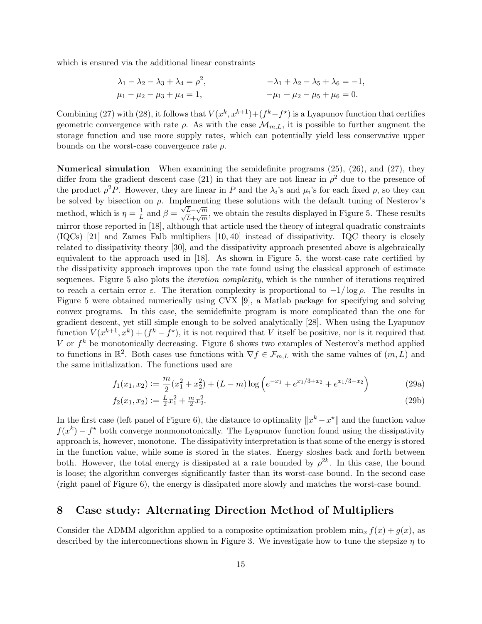which is ensured via the additional linear constraints

$$
\lambda_1 - \lambda_2 - \lambda_3 + \lambda_4 = \rho^2, \qquad -\lambda_1 + \lambda_2 - \lambda_5 + \lambda_6 = -1, \n\mu_1 - \mu_2 - \mu_3 + \mu_4 = 1, \qquad -\mu_1 + \mu_2 - \mu_5 + \mu_6 = 0.
$$

Combining [\(27\)](#page-13-1) with [\(28\)](#page-13-2), it follows that  $V(x^k, x^{k+1}) + (f^k - f^*)$  is a Lyapunov function that certifies geometric convergence with rate  $\rho$ . As with the case  $\mathcal{M}_{m,L}$ , it is possible to further augment the storage function and use more supply rates, which can potentially yield less conservative upper bounds on the worst-case convergence rate  $\rho$ .

Numerical simulation When examining the semidefinite programs [\(25\)](#page-12-1), [\(26\)](#page-13-0), and [\(27\)](#page-13-1), they differ from the gradient descent case [\(21\)](#page-11-2) in that they are not linear in  $\rho^2$  due to the presence of the product  $\rho^2 P$ . However, they are linear in P and the  $\lambda_i$ 's and  $\mu_i$ 's for each fixed  $\rho$ , so they can be solved by bisection on  $\rho$ . Implementing these solutions with the default tuning of Nesterov's method, which is  $\eta = \frac{1}{l}$  $\frac{1}{L}$  and  $\beta = \frac{\sqrt{L}-\sqrt{m}}{\sqrt{L}+\sqrt{m}}$ , we obtain the results displayed in Figure [5.](#page-15-0) These results mirror those reported in [\[18\]](#page-20-7), although that article used the theory of integral quadratic constraints (IQCs) [\[21\]](#page-21-9) and Zames–Falb multipliers [\[10,](#page-20-8) [40\]](#page-21-10) instead of dissipativity. IQC theory is closely related to dissipativity theory [\[30\]](#page-21-11), and the dissipativity approach presented above is algebraically equivalent to the approach used in [\[18\]](#page-20-7). As shown in Figure [5,](#page-15-0) the worst-case rate certified by the dissipativity approach improves upon the rate found using the classical approach of estimate sequences. Figure [5](#page-15-0) also plots the *iteration complexity*, which is the number of iterations required to reach a certain error  $\varepsilon$ . The iteration complexity is proportional to  $-1/\log \rho$ . The results in Figure [5](#page-15-0) were obtained numerically using CVX [\[9\]](#page-20-9), a Matlab package for specifying and solving convex programs. In this case, the semidefinite program is more complicated than the one for gradient descent, yet still simple enough to be solved analytically [\[28\]](#page-21-12). When using the Lyapunov function  $V(x^{k+1}, x^k) + (f^k - f^*)$ , it is not required that V itself be positive, nor is it required that V or  $f^k$  be monotonically decreasing. Figure [6](#page-16-0) shows two examples of Nesterov's method applied to functions in  $\mathbb{R}^2$ . Both cases use functions with  $\nabla f \in \mathcal{F}_{m,L}$  with the same values of  $(m,L)$  and the same initialization. The functions used are

$$
f_1(x_1, x_2) := \frac{m}{2}(x_1^2 + x_2^2) + (L - m)\log\left(e^{-x_1} + e^{x_1/3 + x_2} + e^{x_1/3 - x_2}\right)
$$
(29a)

$$
f_2(x_1, x_2) := \frac{L}{2}x_1^2 + \frac{m}{2}x_2^2. \tag{29b}
$$

In the first case (left panel of Figure [6\)](#page-16-0), the distance to optimality  $||x^k - x^*||$  and the function value  $f(x^k) - f^*$  both converge nonmonotonically. The Lyapunov function found using the dissipativity approach is, however, monotone. The dissipativity interpretation is that some of the energy is stored in the function value, while some is stored in the states. Energy sloshes back and forth between both. However, the total energy is dissipated at a rate bounded by  $\rho^{2k}$ . In this case, the bound is loose; the algorithm converges significantly faster than its worst-case bound. In the second case (right panel of Figure [6\)](#page-16-0), the energy is dissipated more slowly and matches the worst-case bound.

### 8 Case study: Alternating Direction Method of Multipliers

Consider the ADMM algorithm applied to a composite optimization problem  $\min_x f(x) + g(x)$ , as described by the interconnections shown in Figure [3.](#page-4-1) We investigate how to tune the stepsize  $\eta$  to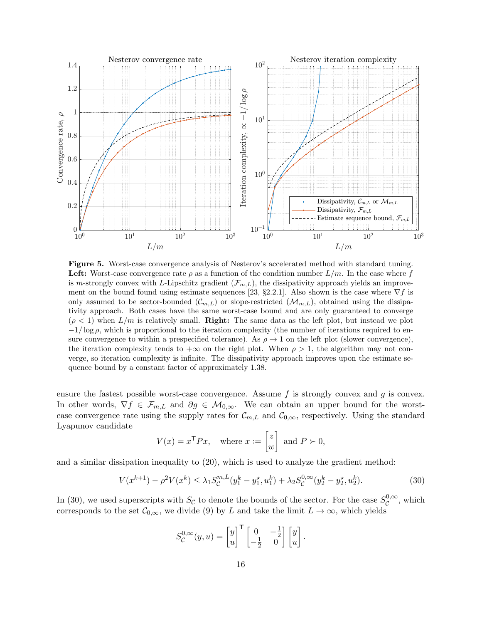<span id="page-15-0"></span>

Figure 5. Worst-case convergence analysis of Nesterov's accelerated method with standard tuning. **Left:** Worst-case convergence rate  $\rho$  as a function of the condition number  $L/m$ . In the case where f is m-strongly convex with L-Lipschitz gradient  $(\mathcal{F}_{m,L})$ , the dissipativity approach yields an improve-ment on the bound found using estimate sequences [\[23,](#page-21-0) §2.2.1]. Also shown is the case where  $\nabla f$  is only assumed to be sector-bounded  $(\mathcal{C}_{m,L})$  or slope-restricted  $(\mathcal{M}_{m,L})$ , obtained using the dissipativity approach. Both cases have the same worst-case bound and are only guaranteed to converge  $(\rho < 1)$  when  $L/m$  is relatively small. **Right:** The same data as the left plot, but instead we plot  $-1/\log \rho$ , which is proportional to the iteration complexity (the number of iterations required to ensure convergence to within a prespecified tolerance). As  $\rho \to 1$  on the left plot (slower convergence), the iteration complexity tends to  $+\infty$  on the right plot. When  $\rho > 1$ , the algorithm may not converge, so iteration complexity is infinite. The dissipativity approach improves upon the estimate sequence bound by a constant factor of approximately 1.38.

ensure the fastest possible worst-case convergence. Assume  $f$  is strongly convex and  $g$  is convex. In other words,  $\nabla f \in \mathcal{F}_{m,L}$  and  $\partial g \in \mathcal{M}_{0,\infty}$ . We can obtain an upper bound for the worstcase convergence rate using the supply rates for  $\mathcal{C}_{m,L}$  and  $\mathcal{C}_{0,\infty}$ , respectively. Using the standard Lyapunov candidate

$$
V(x) = x^{\mathsf{T}} P x, \quad \text{where } x := \begin{bmatrix} z \\ w \end{bmatrix} \text{ and } P \succ 0,
$$

and a similar dissipation inequality to [\(20\)](#page-11-0), which is used to analyze the gradient method:

$$
V(x^{k+1}) - \rho^2 V(x^k) \le \lambda_1 S_C^{m,L}(y_1^k - y_1^*, u_1^k) + \lambda_2 S_C^{0,\infty}(y_2^k - y_2^*, u_2^k). \tag{30}
$$

In [\(30\)](#page-15-1), we used superscripts with  $S_{\mathcal{C}}$  to denote the bounds of the sector. For the case  $S_{\mathcal{C}}^{0,\infty}$  $\mathcal{C}^{0,\infty}$ , which corresponds to the set  $\mathcal{C}_{0,\infty}$ , we divide [\(9\)](#page-6-0) by L and take the limit  $L \to \infty$ , which yields

<span id="page-15-1"></span>
$$
S_{\mathcal{C}}^{0,\infty}(y,u) = \begin{bmatrix} y \\ u \end{bmatrix}^{\mathsf{T}} \begin{bmatrix} 0 & -\frac{1}{2} \\ -\frac{1}{2} & 0 \end{bmatrix} \begin{bmatrix} y \\ u \end{bmatrix}.
$$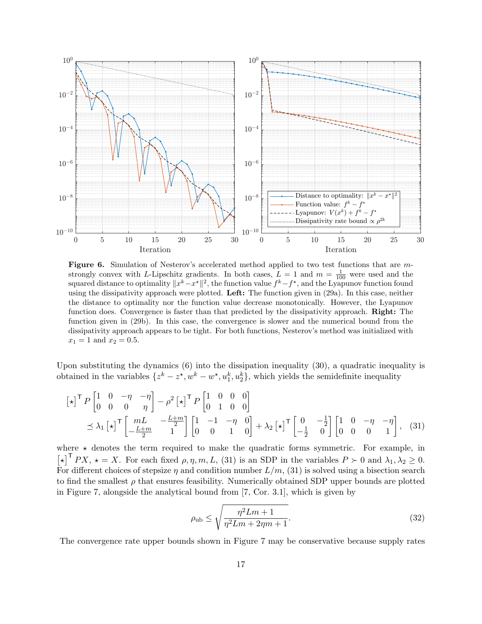<span id="page-16-0"></span>

Figure 6. Simulation of Nesterov's accelerated method applied to two test functions that are mstrongly convex with L-Lipschitz gradients. In both cases,  $L = 1$  and  $m = \frac{1}{100}$  were used and the squared distance to optimality  $||x^k - x^*||^2$ , the function value  $f^k - f^*$ , and the Lyapunov function found using the dissipativity approach were plotted. Left: The function given in [\(29a\)](#page-12-2). In this case, neither the distance to optimality nor the function value decrease monotonically. However, the Lyapunov function does. Convergence is faster than that predicted by the dissipativity approach. **Right:** The function given in [\(29b\)](#page-12-3). In this case, the convergence is slower and the numerical bound from the dissipativity approach appears to be tight. For both functions, Nesterov's method was initialized with  $x_1 = 1$  and  $x_2 = 0.5$ .

Upon substituting the dynamics [\(6\)](#page-4-0) into the dissipation inequality [\(30\)](#page-15-1), a quadratic inequality is obtained in the variables  $\{z^k - z^*, w^k - w^*, u_1^k, u_2^k\}$ , which yields the semidefinite inequality

$$
\begin{aligned}\n\left[\star\right]^{\mathsf{T}} P \begin{bmatrix} 1 & 0 & -\eta & -\eta \\ 0 & 0 & 0 & \eta \end{bmatrix} - \rho^2 \left[\star\right]^{\mathsf{T}} P \begin{bmatrix} 1 & 0 & 0 & 0 \\ 0 & 1 & 0 & 0 \end{bmatrix} \\
& \leq \lambda_1 \left[\star\right]^{\mathsf{T}} \begin{bmatrix} mL & -\frac{L+m}{2} \\ -\frac{L+m}{2} & 1 \end{bmatrix} \begin{bmatrix} 1 & -1 & -\eta & 0 \\ 0 & 0 & 1 & 0 \end{bmatrix} + \lambda_2 \left[\star\right]^{\mathsf{T}} \begin{bmatrix} 0 & -\frac{1}{2} \\ -\frac{1}{2} & 0 \end{bmatrix} \begin{bmatrix} 1 & 0 & -\eta & -\eta \\ 0 & 0 & 0 & 1 \end{bmatrix},\n\end{aligned} \tag{31}
$$

where  $\star$  denotes the term required to make the quadratic forms symmetric. For example, in  $[\star]^{\mathsf{T}} PX$ ,  $\star = X$ . For each fixed  $\rho, \eta, m, L$ , [\(31\)](#page-16-1) is an SDP in the variables  $P \succ 0$  and  $\lambda_1, \lambda_2 \geq 0$ . For different choices of stepsize  $\eta$  and condition number  $L/m$ , [\(31\)](#page-16-1) is solved using a bisection search to find the smallest  $\rho$  that ensures feasibility. Numerically obtained SDP upper bounds are plotted in Figure [7,](#page-17-0) alongside the analytical bound from [\[7,](#page-20-10) Cor. 3.1], which is given by

<span id="page-16-2"></span><span id="page-16-1"></span>
$$
\rho_{\rm ub} \le \sqrt{\frac{\eta^2 L m + 1}{\eta^2 L m + 2\eta m + 1}}.\tag{32}
$$

The convergence rate upper bounds shown in Figure [7](#page-17-0) may be conservative because supply rates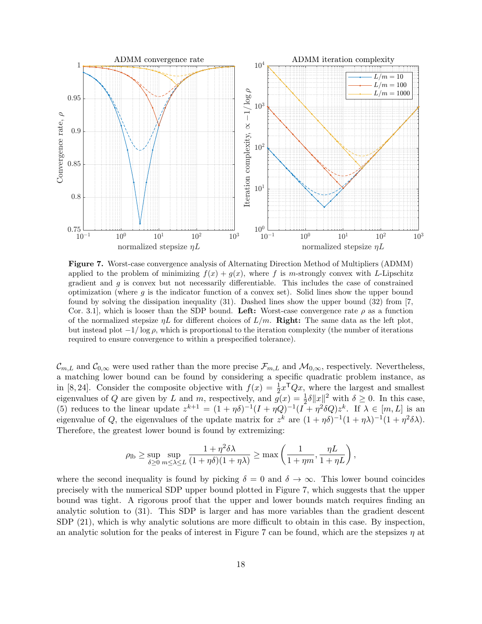<span id="page-17-0"></span>

Figure 7. Worst-case convergence analysis of Alternating Direction Method of Multipliers (ADMM) applied to the problem of minimizing  $f(x) + g(x)$ , where f is m-strongly convex with L-Lipschitz gradient and  $g$  is convex but not necessarily differentiable. This includes the case of constrained optimization (where  $q$  is the indicator function of a convex set). Solid lines show the upper bound found by solving the dissipation inequality [\(31\)](#page-16-1). Dashed lines show the upper bound [\(32\)](#page-16-2) from [\[7,](#page-20-10) Cor. 3.1, which is looser than the SDP bound. Left: Worst-case convergence rate  $\rho$  as a function of the normalized stepsize  $\eta L$  for different choices of  $L/m$ . **Right:** The same data as the left plot, but instead plot  $-1/\log \rho$ , which is proportional to the iteration complexity (the number of iterations required to ensure convergence to within a prespecified tolerance).

 $\mathcal{C}_{m,L}$  and  $\mathcal{C}_{0,\infty}$  were used rather than the more precise  $\mathcal{F}_{m,L}$  and  $\mathcal{M}_{0,\infty}$ , respectively. Nevertheless, a matching lower bound can be found by considering a specific quadratic problem instance, as in [\[8,](#page-20-11) [24\]](#page-21-13). Consider the composite objective with  $f(x) = \frac{1}{2}x^TQx$ , where the largest and smallest eigenvalues of Q are given by L and m, respectively, and  $g(x) = \frac{1}{2}\delta ||x||^2$  with  $\delta \ge 0$ . In this case, [\(5\)](#page-3-1) reduces to the linear update  $z^{k+1} = (1 + \eta \delta)^{-1} (I + \eta Q)^{-1} (I + \eta^2 \delta Q) z^k$ . If  $\lambda \in [m, L]$  is an eigenvalue of Q, the eigenvalues of the update matrix for  $z^k$  are  $(1 + \eta \delta)^{-1}(1 + \eta \lambda)^{-1}(1 + \eta^2 \delta \lambda)$ . Therefore, the greatest lower bound is found by extremizing:

$$
\rho_{\text{lb}} \ge \sup_{\delta \ge 0} \sup_{m \le \lambda \le L} \frac{1 + \eta^2 \delta \lambda}{(1 + \eta \delta)(1 + \eta \lambda)} \ge \max \left( \frac{1}{1 + \eta m}, \frac{\eta L}{1 + \eta L} \right),
$$

where the second inequality is found by picking  $\delta = 0$  and  $\delta \to \infty$ . This lower bound coincides precisely with the numerical SDP upper bound plotted in Figure [7,](#page-17-0) which suggests that the upper bound was tight. A rigorous proof that the upper and lower bounds match requires finding an analytic solution to [\(31\)](#page-16-1). This SDP is larger and has more variables than the gradient descent SDP [\(21\)](#page-11-2), which is why analytic solutions are more difficult to obtain in this case. By inspection, an analytic solution for the peaks of interest in Figure [7](#page-17-0) can be found, which are the stepsizes  $\eta$  at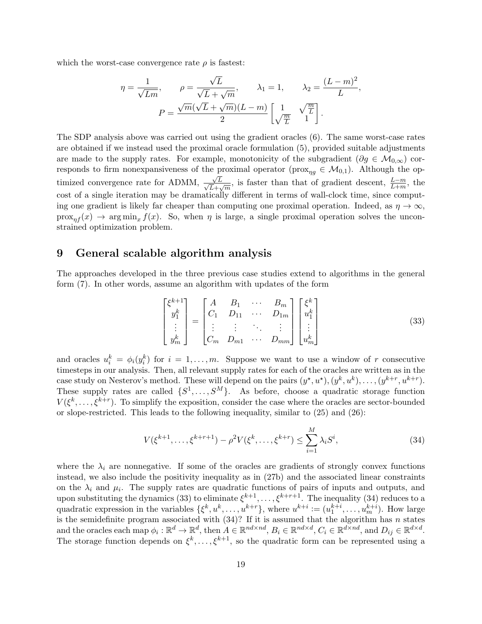which the worst-case convergence rate  $\rho$  is fastest:

$$
\eta = \frac{1}{\sqrt{Lm}}, \qquad \rho = \frac{\sqrt{L}}{\sqrt{L} + \sqrt{m}}, \qquad \lambda_1 = 1, \qquad \lambda_2 = \frac{(L-m)^2}{L}
$$

$$
P = \frac{\sqrt{m}(\sqrt{L} + \sqrt{m})(L-m)}{2} \begin{bmatrix} 1 & \sqrt{\frac{m}{L}} \\ \sqrt{\frac{m}{L}} & 1 \end{bmatrix}.
$$

The SDP analysis above was carried out using the gradient oracles [\(6\)](#page-4-0). The same worst-case rates are obtained if we instead used the proximal oracle formulation [\(5\)](#page-3-1), provided suitable adjustments are made to the supply rates. For example, monotonicity of the subgradient ( $\partial g \in \mathcal{M}_{0,\infty}$ ) corresponds to firm nonexpansiveness of the proximal operator ( $\text{prox}_{\eta q} \in \mathcal{M}_{0,1}$ ). Although the optimized convergence rate for ADMM, √  $\frac{\sqrt{L}}{2}$  $\frac{\sqrt{L}}{L+\sqrt{m}}$ , is faster than that of gradient descent,  $\frac{L-m}{L+m}$ , the cost of a single iteration may be dramatically different in terms of wall-clock time, since computing one gradient is likely far cheaper than computing one proximal operation. Indeed, as  $\eta \to \infty$ ,  $prox_{nf}(x) \rightarrow arg min_x f(x)$ . So, when  $\eta$  is large, a single proximal operation solves the unconstrained optimization problem.

### 9 General scalable algorithm analysis

The approaches developed in the three previous case studies extend to algorithms in the general form [\(7\)](#page-4-2). In other words, assume an algorithm with updates of the form

$$
\begin{bmatrix} \xi^{k+1} \\ y_1^k \\ \vdots \\ y_m^k \end{bmatrix} = \begin{bmatrix} A & B_1 & \cdots & B_m \\ C_1 & D_{11} & \cdots & D_{1m} \\ \vdots & \vdots & \ddots & \vdots \\ C_m & D_{m1} & \cdots & D_{mm} \end{bmatrix} \begin{bmatrix} \xi^k \\ u_1^k \\ \vdots \\ u_m^k \end{bmatrix} \tag{33}
$$

<span id="page-18-0"></span>,

and oracles  $u_i^k = \phi_i(y_i^k)$  for  $i = 1, \ldots, m$ . Suppose we want to use a window of r consecutive timesteps in our analysis. Then, all relevant supply rates for each of the oracles are written as in the case study on Nesterov's method. These will depend on the pairs  $(y^*, u^*), (y^k, u^k), \ldots, (y^{k+r}, u^{k+r}).$ These supply rates are called  $\{S^1, \ldots, S^M\}$ . As before, choose a quadratic storage function  $V(\xi^k,\ldots,\xi^{k+r})$ . To simplify the exposition, consider the case where the oracles are sector-bounded or slope-restricted. This leads to the following inequality, similar to  $(25)$  and  $(26)$ :

<span id="page-18-1"></span>
$$
V(\xi^{k+1}, \dots, \xi^{k+r+1}) - \rho^2 V(\xi^k, \dots, \xi^{k+r}) \le \sum_{i=1}^M \lambda_i S^i,
$$
\n(34)

where the  $\lambda_i$  are nonnegative. If some of the oracles are gradients of strongly convex functions instead, we also include the positivity inequality as in [\(27b\)](#page-12-3) and the associated linear constraints on the  $\lambda_i$  and  $\mu_i$ . The supply rates are quadratic functions of pairs of inputs and outputs, and upon substituting the dynamics [\(33\)](#page-18-0) to eliminate  $\xi^{k+1}, \ldots, \xi^{k+r+1}$ . The inequality [\(34\)](#page-18-1) reduces to a quadratic expression in the variables  $\{\xi^k, u^k, \dots, u^{k+r}\}$ , where  $u^{k+i} := (u_1^{k+i}, \dots, u_m^{k+i})$ . How large is the semidefinite program associated with  $(34)$ ? If it is assumed that the algorithm has n states and the oracles each map  $\phi_i : \mathbb{R}^d \to \mathbb{R}^d$ , then  $A \in \mathbb{R}^{nd \times nd}$ ,  $B_i \in \mathbb{R}^{nd \times d}$ ,  $C_i \in \mathbb{R}^{d \times nd}$ , and  $D_{ij} \in \mathbb{R}^{d \times d}$ . The storage function depends on  $\xi^k, \ldots, \xi^{k+1}$ , so the quadratic form can be represented using a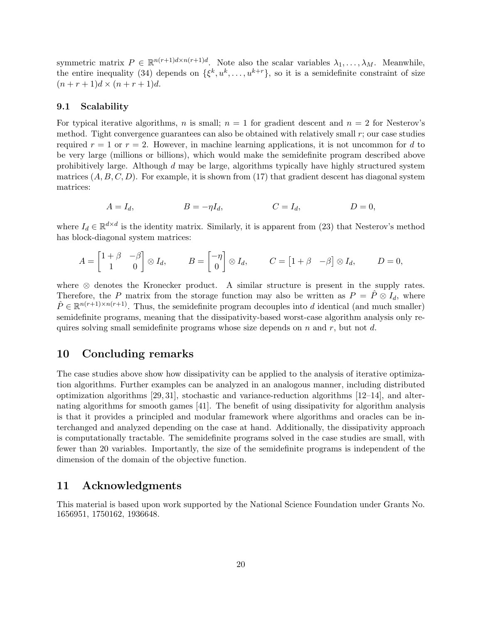symmetric matrix  $P \in \mathbb{R}^{n(r+1)d \times n(r+1)d}$ . Note also the scalar variables  $\lambda_1, \ldots, \lambda_M$ . Meanwhile, the entire inequality [\(34\)](#page-18-1) depends on  $\{\xi^k, u^k, \ldots, u^{k+r}\}$ , so it is a semidefinite constraint of size  $(n + r + 1)d \times (n + r + 1)d$ .

#### 9.1 Scalability

For typical iterative algorithms, n is small;  $n = 1$  for gradient descent and  $n = 2$  for Nesterov's method. Tight convergence guarantees can also be obtained with relatively small r; our case studies required  $r = 1$  or  $r = 2$ . However, in machine learning applications, it is not uncommon for d to be very large (millions or billions), which would make the semidefinite program described above prohibitively large. Although d may be large, algorithms typically have highly structured system matrices  $(A, B, C, D)$ . For example, it is shown from [\(17\)](#page-10-0) that gradient descent has diagonal system matrices:

$$
A = I_d, \qquad B = -\eta I_d, \qquad C = I_d, \qquad D = 0,
$$

where  $I_d \in \mathbb{R}^{d \times d}$  is the identity matrix. Similarly, it is apparent from [\(23\)](#page-12-0) that Nesterov's method has block-diagonal system matrices:

$$
A = \begin{bmatrix} 1+\beta & -\beta \\ 1 & 0 \end{bmatrix} \otimes I_d, \qquad B = \begin{bmatrix} -\eta \\ 0 \end{bmatrix} \otimes I_d, \qquad C = \begin{bmatrix} 1+\beta & -\beta \end{bmatrix} \otimes I_d, \qquad D = 0,
$$

where ⊗ denotes the Kronecker product. A similar structure is present in the supply rates. Therefore, the P matrix from the storage function may also be written as  $P = \hat{P} \otimes I_d$ , where  $\hat{P} \in \mathbb{R}^{n(r+1)\times n(r+1)}$ . Thus, the semidefinite program decouples into d identical (and much smaller) semidefinite programs, meaning that the dissipativity-based worst-case algorithm analysis only requires solving small semidefinite programs whose size depends on  $n$  and  $r$ , but not d.

### 10 Concluding remarks

The case studies above show how dissipativity can be applied to the analysis of iterative optimization algorithms. Further examples can be analyzed in an analogous manner, including distributed optimization algorithms  $[29, 31]$  $[29, 31]$ , stochastic and variance-reduction algorithms  $[12-14]$  $[12-14]$ , and alternating algorithms for smooth games [\[41\]](#page-21-16). The benefit of using dissipativity for algorithm analysis is that it provides a principled and modular framework where algorithms and oracles can be interchanged and analyzed depending on the case at hand. Additionally, the dissipativity approach is computationally tractable. The semidefinite programs solved in the case studies are small, with fewer than 20 variables. Importantly, the size of the semidefinite programs is independent of the dimension of the domain of the objective function.

### 11 Acknowledgments

This material is based upon work supported by the National Science Foundation under Grants No. 1656951, 1750162, 1936648.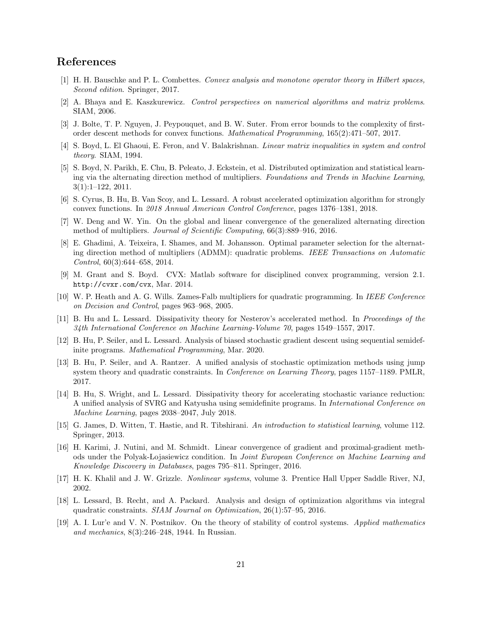# References

- <span id="page-20-2"></span>[1] H. H. Bauschke and P. L. Combettes. Convex analysis and monotone operator theory in Hilbert spaces, Second edition. Springer, 2017.
- <span id="page-20-16"></span>[2] A. Bhaya and E. Kaszkurewicz. Control perspectives on numerical algorithms and matrix problems. SIAM, 2006.
- <span id="page-20-4"></span>[3] J. Bolte, T. P. Nguyen, J. Peypouquet, and B. W. Suter. From error bounds to the complexity of firstorder descent methods for convex functions. Mathematical Programming, 165(2):471–507, 2017.
- <span id="page-20-17"></span>[4] S. Boyd, L. El Ghaoui, E. Feron, and V. Balakrishnan. Linear matrix inequalities in system and control theory. SIAM, 1994.
- <span id="page-20-0"></span>[5] S. Boyd, N. Parikh, E. Chu, B. Peleato, J. Eckstein, et al. Distributed optimization and statistical learning via the alternating direction method of multipliers. Foundations and Trends in Machine Learning, 3(1):1–122, 2011.
- <span id="page-20-15"></span>[6] S. Cyrus, B. Hu, B. Van Scoy, and L. Lessard. A robust accelerated optimization algorithm for strongly convex functions. In 2018 Annual American Control Conference, pages 1376–1381, 2018.
- <span id="page-20-10"></span>[7] W. Deng and W. Yin. On the global and linear convergence of the generalized alternating direction method of multipliers. Journal of Scientific Computing, 66(3):889–916, 2016.
- <span id="page-20-11"></span>[8] E. Ghadimi, A. Teixeira, I. Shames, and M. Johansson. Optimal parameter selection for the alternating direction method of multipliers (ADMM): quadratic problems. IEEE Transactions on Automatic Control, 60(3):644–658, 2014.
- <span id="page-20-9"></span>[9] M. Grant and S. Boyd. CVX: Matlab software for disciplined convex programming, version 2.1. <http://cvxr.com/cvx>, Mar. 2014.
- <span id="page-20-8"></span>[10] W. P. Heath and A. G. Wills. Zames-Falb multipliers for quadratic programming. In IEEE Conference on Decision and Control, pages 963–968, 2005.
- <span id="page-20-6"></span>[11] B. Hu and L. Lessard. Dissipativity theory for Nesterov's accelerated method. In Proceedings of the 34th International Conference on Machine Learning-Volume 70, pages 1549–1557, 2017.
- <span id="page-20-12"></span>[12] B. Hu, P. Seiler, and L. Lessard. Analysis of biased stochastic gradient descent using sequential semidefinite programs. Mathematical Programming, Mar. 2020.
- [13] B. Hu, P. Seiler, and A. Rantzer. A unified analysis of stochastic optimization methods using jump system theory and quadratic constraints. In Conference on Learning Theory, pages 1157–1189. PMLR, 2017.
- <span id="page-20-13"></span>[14] B. Hu, S. Wright, and L. Lessard. Dissipativity theory for accelerating stochastic variance reduction: A unified analysis of SVRG and Katyusha using semidefinite programs. In International Conference on Machine Learning, pages 2038–2047, July 2018.
- <span id="page-20-3"></span>[15] G. James, D. Witten, T. Hastie, and R. Tibshirani. An introduction to statistical learning, volume 112. Springer, 2013.
- <span id="page-20-5"></span>[16] H. Karimi, J. Nutini, and M. Schmidt. Linear convergence of gradient and proximal-gradient methods under the Polyak-Lojasiewicz condition. In *Joint European Conference on Machine Learning and* Knowledge Discovery in Databases, pages 795–811. Springer, 2016.
- <span id="page-20-14"></span>[17] H. K. Khalil and J. W. Grizzle. Nonlinear systems, volume 3. Prentice Hall Upper Saddle River, NJ, 2002.
- <span id="page-20-7"></span>[18] L. Lessard, B. Recht, and A. Packard. Analysis and design of optimization algorithms via integral quadratic constraints. SIAM Journal on Optimization, 26(1):57–95, 2016.
- <span id="page-20-1"></span>[19] A. I. Lur'e and V. N. Postnikov. On the theory of stability of control systems. Applied mathematics and mechanics, 8(3):246–248, 1944. In Russian.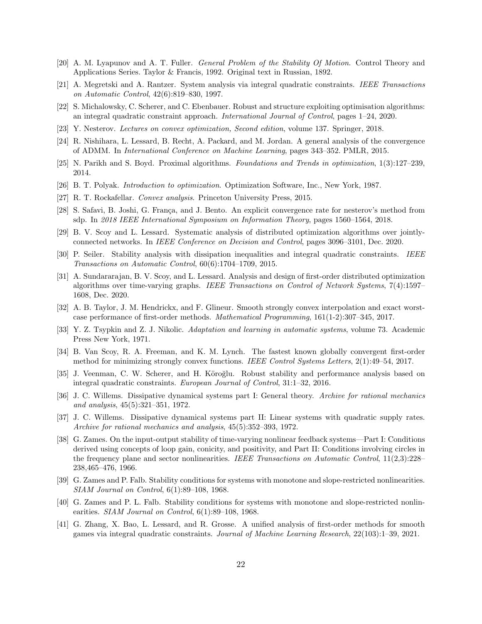- <span id="page-21-17"></span>[20] A. M. Lyapunov and A. T. Fuller. General Problem of the Stability Of Motion. Control Theory and Applications Series. Taylor & Francis, 1992. Original text in Russian, 1892.
- <span id="page-21-9"></span>[21] A. Megretski and A. Rantzer. System analysis via integral quadratic constraints. IEEE Transactions on Automatic Control, 42(6):819–830, 1997.
- <span id="page-21-20"></span>[22] S. Michalowsky, C. Scherer, and C. Ebenbauer. Robust and structure exploiting optimisation algorithms: an integral quadratic constraint approach. International Journal of Control, pages 1–24, 2020.
- <span id="page-21-0"></span>[23] Y. Nesterov. Lectures on convex optimization, Second edition, volume 137. Springer, 2018.
- <span id="page-21-13"></span>[24] R. Nishihara, L. Lessard, B. Recht, A. Packard, and M. Jordan. A general analysis of the convergence of ADMM. In International Conference on Machine Learning, pages 343–352. PMLR, 2015.
- <span id="page-21-1"></span>[25] N. Parikh and S. Boyd. Proximal algorithms. Foundations and Trends in optimization, 1(3):127–239, 2014.
- <span id="page-21-8"></span>[26] B. T. Polyak. Introduction to optimization. Optimization Software, Inc., New York, 1987.
- <span id="page-21-7"></span>[27] R. T. Rockafellar. Convex analysis. Princeton University Press, 2015.
- <span id="page-21-12"></span>[28] S. Safavi, B. Joshi, G. França, and J. Bento. An explicit convergence rate for nesterov's method from sdp. In 2018 IEEE International Symposium on Information Theory, pages 1560–1564, 2018.
- <span id="page-21-14"></span>[29] B. V. Scoy and L. Lessard. Systematic analysis of distributed optimization algorithms over jointlyconnected networks. In IEEE Conference on Decision and Control, pages 3096–3101, Dec. 2020.
- <span id="page-21-11"></span>[30] P. Seiler. Stability analysis with dissipation inequalities and integral quadratic constraints. IEEE Transactions on Automatic Control, 60(6):1704–1709, 2015.
- <span id="page-21-15"></span>[31] A. Sundararajan, B. V. Scoy, and L. Lessard. Analysis and design of first-order distributed optimization algorithms over time-varying graphs. IEEE Transactions on Control of Network Systems, 7(4):1597– 1608, Dec. 2020.
- <span id="page-21-6"></span>[32] A. B. Taylor, J. M. Hendrickx, and F. Glineur. Smooth strongly convex interpolation and exact worstcase performance of first-order methods. Mathematical Programming, 161(1-2):307–345, 2017.
- <span id="page-21-18"></span>[33] Y. Z. Tsypkin and Z. J. Nikolic. Adaptation and learning in automatic systems, volume 73. Academic Press New York, 1971.
- <span id="page-21-21"></span>[34] B. Van Scoy, R. A. Freeman, and K. M. Lynch. The fastest known globally convergent first-order method for minimizing strongly convex functions. IEEE Control Systems Letters, 2(1):49–54, 2017.
- <span id="page-21-19"></span>[35] J. Veenman, C. W. Scherer, and H. Köroğlu. Robust stability and performance analysis based on integral quadratic constraints. European Journal of Control, 31:1–32, 2016.
- <span id="page-21-2"></span>[36] J. C. Willems. Dissipative dynamical systems part I: General theory. Archive for rational mechanics and analysis, 45(5):321–351, 1972.
- <span id="page-21-3"></span>[37] J. C. Willems. Dissipative dynamical systems part II: Linear systems with quadratic supply rates. Archive for rational mechanics and analysis, 45(5):352–393, 1972.
- <span id="page-21-4"></span>[38] G. Zames. On the input-output stability of time-varying nonlinear feedback systems—Part I: Conditions derived using concepts of loop gain, conicity, and positivity, and Part II: Conditions involving circles in the frequency plane and sector nonlinearities. IEEE Transactions on Automatic Control, 11(2,3):228– 238,465–476, 1966.
- <span id="page-21-5"></span>[39] G. Zames and P. Falb. Stability conditions for systems with monotone and slope-restricted nonlinearities. SIAM Journal on Control, 6(1):89–108, 1968.
- <span id="page-21-10"></span>[40] G. Zames and P. L. Falb. Stability conditions for systems with monotone and slope-restricted nonlinearities. SIAM Journal on Control, 6(1):89–108, 1968.
- <span id="page-21-16"></span>[41] G. Zhang, X. Bao, L. Lessard, and R. Grosse. A unified analysis of first-order methods for smooth games via integral quadratic constraints. Journal of Machine Learning Research, 22(103):1–39, 2021.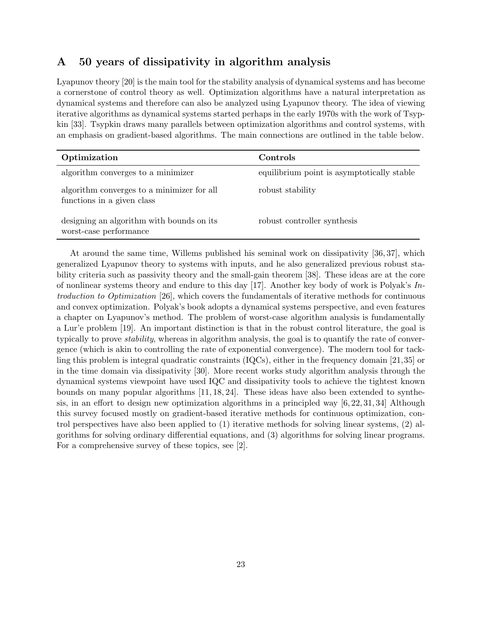# A 50 years of dissipativity in algorithm analysis

Lyapunov theory [\[20\]](#page-21-17) is the main tool for the stability analysis of dynamical systems and has become a cornerstone of control theory as well. Optimization algorithms have a natural interpretation as dynamical systems and therefore can also be analyzed using Lyapunov theory. The idea of viewing iterative algorithms as dynamical systems started perhaps in the early 1970s with the work of Tsypkin [\[33\]](#page-21-18). Tsypkin draws many parallels between optimization algorithms and control systems, with an emphasis on gradient-based algorithms. The main connections are outlined in the table below.

| Optimization                                                             | Controls                                   |
|--------------------------------------------------------------------------|--------------------------------------------|
| algorithm converges to a minimizer                                       | equilibrium point is asymptotically stable |
| algorithm converges to a minimizer for all<br>functions in a given class | robust stability                           |
| designing an algorithm with bounds on its<br>worst-case performance      | robust controller synthesis                |

At around the same time, Willems published his seminal work on dissipativity [\[36,](#page-21-2) [37\]](#page-21-3), which generalized Lyapunov theory to systems with inputs, and he also generalized previous robust stability criteria such as passivity theory and the small-gain theorem [\[38\]](#page-21-4). These ideas are at the core of nonlinear systems theory and endure to this day [\[17\]](#page-20-14). Another key body of work is Polyak's  $In$ troduction to Optimization [\[26\]](#page-21-8), which covers the fundamentals of iterative methods for continuous and convex optimization. Polyak's book adopts a dynamical systems perspective, and even features a chapter on Lyapunov's method. The problem of worst-case algorithm analysis is fundamentally a Lur'e problem [\[19\]](#page-20-1). An important distinction is that in the robust control literature, the goal is typically to prove stability, whereas in algorithm analysis, the goal is to quantify the rate of convergence (which is akin to controlling the rate of exponential convergence). The modern tool for tackling this problem is integral quadratic constraints (IQCs), either in the frequency domain [\[21,](#page-21-9)[35\]](#page-21-19) or in the time domain via dissipativity [\[30\]](#page-21-11). More recent works study algorithm analysis through the dynamical systems viewpoint have used IQC and dissipativity tools to achieve the tightest known bounds on many popular algorithms [\[11,](#page-20-6) [18,](#page-20-7) [24\]](#page-21-13). These ideas have also been extended to synthesis, in an effort to design new optimization algorithms in a principled way [\[6,](#page-20-15) [22,](#page-21-20) [31,](#page-21-15) [34\]](#page-21-21) Although this survey focused mostly on gradient-based iterative methods for continuous optimization, control perspectives have also been applied to (1) iterative methods for solving linear systems, (2) algorithms for solving ordinary differential equations, and (3) algorithms for solving linear programs. For a comprehensive survey of these topics, see [\[2\]](#page-20-16).